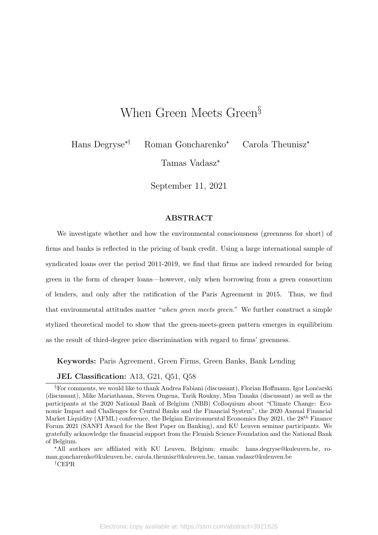# When Green Meets Green<sup>§</sup>

Hans Degryse<sup>\*†</sup> Roman Goncharenko<sup>\*</sup> Carola Theunisz<sup>\*</sup>

Tamas Vadasz\*

September 11, 2021

#### ABSTRACT

We investigate whether and how the environmental consciousness (greenness for short) of firms and banks is reflected in the pricing of bank credit. Using a large international sample of syndicated loans over the period 2011-2019, we find that firms are indeed rewarded for being green in the form of cheaper loans—however, only when borrowing from a green consortium of lenders, and only after the ratification of the Paris Agreement in 2015. Thus, we find that environmental attitudes matter "when green meets green." We further construct a simple stylized theoretical model to show that the green-meets-green pattern emerges in equilibrium as the result of third-degree price discrimination with regard to firms' greenness.

Keywords: Paris Agreement, Green Firms, Green Banks, Bank Lending

#### JEL Classification: A13, G21, Q51, Q58

?All authors are affiliated with KU Leuven, Belgium; emails: hans.degryse@kuleuven.be, roman.goncharenko@kuleuven.be, carola.theunisz@kuleuven.be, tamas.vadasz@kuleuven.be

†CEPR

 $\S$ For comments, we would like to thank Andrea Fabiani (discussant), Florian Hoffmann, Igor Lončarski (discussant), Mike Mariathasan, Steven Ongena, Tarik Roukny, Misa Tanaka (discussant) as well as the participants at the 2020 National Bank of Belgium (NBB) Colloquium about "Climate Change: Economic Impact and Challenges for Central Banks and the Financial System", the 2020 Annual Financial Market Liquidity (AFML) conference, the Belgian Environmental Economics Day 2021, the 28<sup>th</sup> Finance Forum 2021 (SANFI Award for the Best Paper on Banking), and KU Leuven seminar participants. We gratefully acknowledge the financial support from the Flemish Science Foundation and the National Bank of Belgium.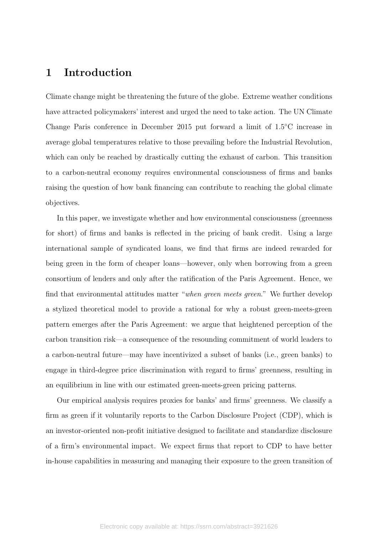# 1 Introduction

Climate change might be threatening the future of the globe. Extreme weather conditions have attracted policymakers' interest and urged the need to take action. The UN Climate Change Paris conference in December 2015 put forward a limit of 1.5°C increase in average global temperatures relative to those prevailing before the Industrial Revolution, which can only be reached by drastically cutting the exhaust of carbon. This transition to a carbon-neutral economy requires environmental consciousness of firms and banks raising the question of how bank financing can contribute to reaching the global climate objectives.

In this paper, we investigate whether and how environmental consciousness (greenness for short) of firms and banks is reflected in the pricing of bank credit. Using a large international sample of syndicated loans, we find that firms are indeed rewarded for being green in the form of cheaper loans—however, only when borrowing from a green consortium of lenders and only after the ratification of the Paris Agreement. Hence, we find that environmental attitudes matter "when green meets green." We further develop a stylized theoretical model to provide a rational for why a robust green-meets-green pattern emerges after the Paris Agreement: we argue that heightened perception of the carbon transition risk—a consequence of the resounding commitment of world leaders to a carbon-neutral future—may have incentivized a subset of banks (i.e., green banks) to engage in third-degree price discrimination with regard to firms' greenness, resulting in an equilibrium in line with our estimated green-meets-green pricing patterns.

Our empirical analysis requires proxies for banks' and firms' greenness. We classify a firm as green if it voluntarily reports to the Carbon Disclosure Project (CDP), which is an investor-oriented non-profit initiative designed to facilitate and standardize disclosure of a firm's environmental impact. We expect firms that report to CDP to have better in-house capabilities in measuring and managing their exposure to the green transition of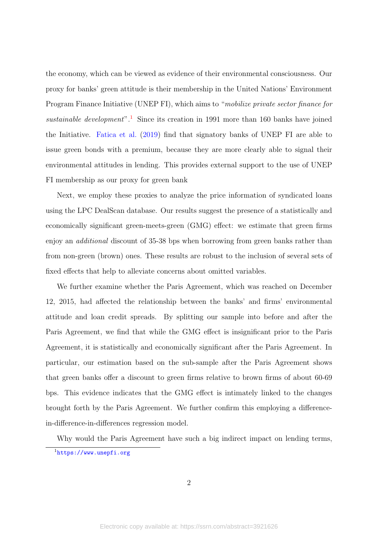the economy, which can be viewed as evidence of their environmental consciousness. Our proxy for banks' green attitude is their membership in the United Nations' Environment Program Finance Initiative (UNEP FI), which aims to "mobilize private sector finance for sustainable development".<sup>[1](#page-2-0)</sup> Since its creation in 1991 more than 160 banks have joined the Initiative. [Fatica et al.](#page-32-0) [\(2019\)](#page-32-0) find that signatory banks of UNEP FI are able to issue green bonds with a premium, because they are more clearly able to signal their environmental attitudes in lending. This provides external support to the use of UNEP FI membership as our proxy for green bank

Next, we employ these proxies to analyze the price information of syndicated loans using the LPC DealScan database. Our results suggest the presence of a statistically and economically significant green-meets-green (GMG) effect: we estimate that green firms enjoy an *additional* discount of 35-38 bps when borrowing from green banks rather than from non-green (brown) ones. These results are robust to the inclusion of several sets of fixed effects that help to alleviate concerns about omitted variables.

We further examine whether the Paris Agreement, which was reached on December 12, 2015, had affected the relationship between the banks' and firms' environmental attitude and loan credit spreads. By splitting our sample into before and after the Paris Agreement, we find that while the GMG effect is insignificant prior to the Paris Agreement, it is statistically and economically significant after the Paris Agreement. In particular, our estimation based on the sub-sample after the Paris Agreement shows that green banks offer a discount to green firms relative to brown firms of about 60-69 bps. This evidence indicates that the GMG effect is intimately linked to the changes brought forth by the Paris Agreement. We further confirm this employing a differencein-difference-in-differences regression model.

Why would the Paris Agreement have such a big indirect impact on lending terms,

<span id="page-2-0"></span><sup>1</sup><https://www.unepfi.org>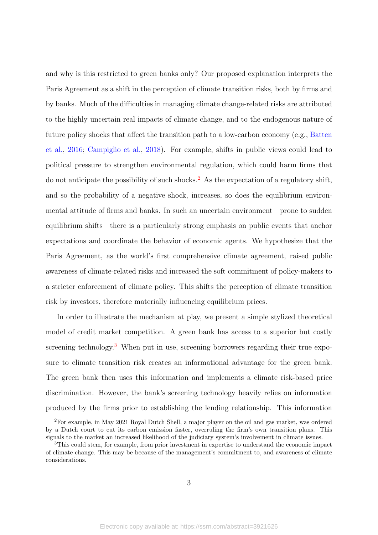and why is this restricted to green banks only? Our proposed explanation interprets the Paris Agreement as a shift in the perception of climate transition risks, both by firms and by banks. Much of the difficulties in managing climate change-related risks are attributed to the highly uncertain real impacts of climate change, and to the endogenous nature of future policy shocks that affect the transition path to a low-carbon economy (e.g., [Batten](#page-31-0) [et al.,](#page-31-0) [2016;](#page-31-0) [Campiglio et al.,](#page-31-1) [2018\)](#page-31-1). For example, shifts in public views could lead to political pressure to strengthen environmental regulation, which could harm firms that do not anticipate the possibility of such shocks.<sup>[2](#page-3-0)</sup> As the expectation of a regulatory shift, and so the probability of a negative shock, increases, so does the equilibrium environmental attitude of firms and banks. In such an uncertain environment—prone to sudden equilibrium shifts—there is a particularly strong emphasis on public events that anchor expectations and coordinate the behavior of economic agents. We hypothesize that the Paris Agreement, as the world's first comprehensive climate agreement, raised public awareness of climate-related risks and increased the soft commitment of policy-makers to a stricter enforcement of climate policy. This shifts the perception of climate transition risk by investors, therefore materially influencing equilibrium prices.

In order to illustrate the mechanism at play, we present a simple stylized theoretical model of credit market competition. A green bank has access to a superior but costly screening technology.<sup>[3](#page-3-1)</sup> When put in use, screening borrowers regarding their true exposure to climate transition risk creates an informational advantage for the green bank. The green bank then uses this information and implements a climate risk-based price discrimination. However, the bank's screening technology heavily relies on information produced by the firms prior to establishing the lending relationship. This information

<span id="page-3-0"></span><sup>2</sup>For example, in May 2021 Royal Dutch Shell, a major player on the oil and gas market, was ordered by a Dutch court to cut its carbon emission faster, overruling the firm's own transition plans. This signals to the market an increased likelihood of the judiciary system's involvement in climate issues.

<span id="page-3-1"></span><sup>&</sup>lt;sup>3</sup>This could stem, for example, from prior investment in expertise to understand the economic impact of climate change. This may be because of the management's commitment to, and awareness of climate considerations.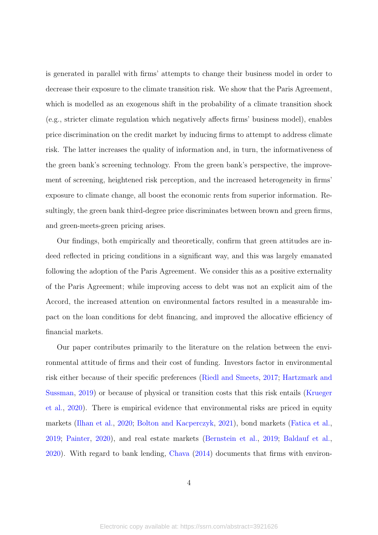is generated in parallel with firms' attempts to change their business model in order to decrease their exposure to the climate transition risk. We show that the Paris Agreement, which is modelled as an exogenous shift in the probability of a climate transition shock (e.g., stricter climate regulation which negatively affects firms' business model), enables price discrimination on the credit market by inducing firms to attempt to address climate risk. The latter increases the quality of information and, in turn, the informativeness of the green bank's screening technology. From the green bank's perspective, the improvement of screening, heightened risk perception, and the increased heterogeneity in firms' exposure to climate change, all boost the economic rents from superior information. Resultingly, the green bank third-degree price discriminates between brown and green firms, and green-meets-green pricing arises.

Our findings, both empirically and theoretically, confirm that green attitudes are indeed reflected in pricing conditions in a significant way, and this was largely emanated following the adoption of the Paris Agreement. We consider this as a positive externality of the Paris Agreement; while improving access to debt was not an explicit aim of the Accord, the increased attention on environmental factors resulted in a measurable impact on the loan conditions for debt financing, and improved the allocative efficiency of financial markets.

Our paper contributes primarily to the literature on the relation between the environmental attitude of firms and their cost of funding. Investors factor in environmental risk either because of their specific preferences [\(Riedl and Smeets,](#page-33-0) [2017;](#page-33-0) [Hartzmark and](#page-32-1) [Sussman,](#page-32-1) [2019\)](#page-32-1) or because of physical or transition costs that this risk entails [\(Krueger](#page-33-1) [et al.,](#page-33-1) [2020\)](#page-33-1). There is empirical evidence that environmental risks are priced in equity markets [\(Ilhan et al.,](#page-32-2) [2020;](#page-32-2) [Bolton and Kacperczyk,](#page-31-2) [2021\)](#page-31-2), bond markets [\(Fatica et al.,](#page-32-0) [2019;](#page-32-0) [Painter,](#page-33-2) [2020\)](#page-33-2), and real estate markets [\(Bernstein et al.,](#page-31-3) [2019;](#page-31-3) [Baldauf et al.,](#page-31-4) [2020\)](#page-31-4). With regard to bank lending, [Chava](#page-31-5) [\(2014\)](#page-31-5) documents that firms with environ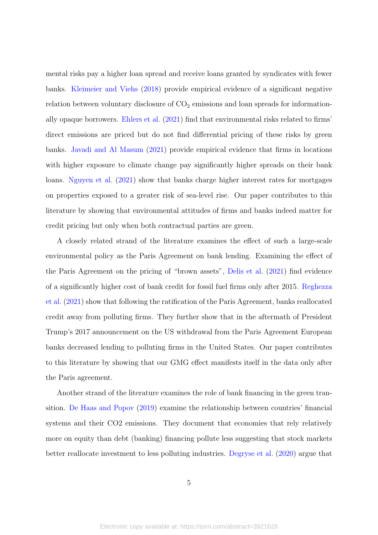mental risks pay a higher loan spread and receive loans granted by syndicates with fewer banks. [Kleimeier and Viehs](#page-33-3) [\(2018\)](#page-33-3) provide empirical evidence of a significant negative relation between voluntary disclosure of  $CO<sub>2</sub>$  emissions and loan spreads for informationally opaque borrowers. [Ehlers et al.](#page-32-3) [\(2021\)](#page-32-3) find that environmental risks related to firms' direct emissions are priced but do not find differential pricing of these risks by green banks. [Javadi and Al Masum](#page-32-4) [\(2021\)](#page-32-4) provide empirical evidence that firms in locations with higher exposure to climate change pay significantly higher spreads on their bank loans. [Nguyen et al.](#page-33-4) [\(2021\)](#page-33-4) show that banks charge higher interest rates for mortgages on properties exposed to a greater risk of sea-level rise. Our paper contributes to this literature by showing that environmental attitudes of firms and banks indeed matter for credit pricing but only when both contractual parties are green.

A closely related strand of the literature examines the effect of such a large-scale environmental policy as the Paris Agreement on bank lending. Examining the effect of the Paris Agreement on the pricing of "brown assets", [Delis et al.](#page-32-5) [\(2021\)](#page-32-5) find evidence of a significantly higher cost of bank credit for fossil fuel firms only after 2015. [Reghezza](#page-33-5) [et al.](#page-33-5) [\(2021\)](#page-33-5) show that following the ratification of the Paris Agreement, banks reallocated credit away from polluting firms. They further show that in the aftermath of President Trump's 2017 announcement on the US withdrawal from the Paris Agreement European banks decreased lending to polluting firms in the United States. Our paper contributes to this literature by showing that our GMG effect manifests itself in the data only after the Paris agreement.

Another strand of the literature examines the role of bank financing in the green transition. [De Haas and Popov](#page-32-6) [\(2019\)](#page-32-6) examine the relationship between countries' financial systems and their CO2 emissions. They document that economies that rely relatively more on equity than debt (banking) financing pollute less suggesting that stock markets better reallocate investment to less polluting industries. [Degryse et al.](#page-32-7) [\(2020\)](#page-32-7) argue that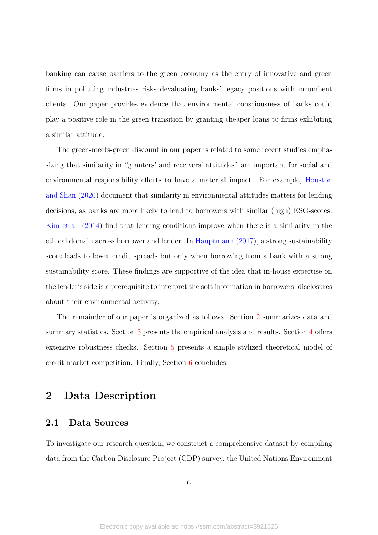banking can cause barriers to the green economy as the entry of innovative and green firms in polluting industries risks devaluating banks' legacy positions with incumbent clients. Our paper provides evidence that environmental consciousness of banks could play a positive role in the green transition by granting cheaper loans to firms exhibiting a similar attitude.

The green-meets-green discount in our paper is related to some recent studies emphasizing that similarity in "granters' and receivers' attitudes" are important for social and environmental responsibility efforts to have a material impact. For example, [Houston](#page-32-8) [and Shan](#page-32-8) [\(2020\)](#page-32-8) document that similarity in environmental attitudes matters for lending decisions, as banks are more likely to lend to borrowers with similar (high) ESG-scores. [Kim et al.](#page-32-9) [\(2014\)](#page-32-9) find that lending conditions improve when there is a similarity in the ethical domain across borrower and lender. In [Hauptmann](#page-32-10) [\(2017\)](#page-32-10), a strong sustainability score leads to lower credit spreads but only when borrowing from a bank with a strong sustainability score. These findings are supportive of the idea that in-house expertise on the lender's side is a prerequisite to interpret the soft information in borrowers' disclosures about their environmental activity.

The remainder of our paper is organized as follows. Section [2](#page-6-0) summarizes data and summary statistics. Section [3](#page-11-0) presents the empirical analysis and results. Section [4](#page-15-0) offers extensive robustness checks. Section [5](#page-22-0) presents a simple stylized theoretical model of credit market competition. Finally, Section [6](#page-29-0) concludes.

# <span id="page-6-0"></span>2 Data Description

### 2.1 Data Sources

To investigate our research question, we construct a comprehensive dataset by compiling data from the Carbon Disclosure Project (CDP) survey, the United Nations Environment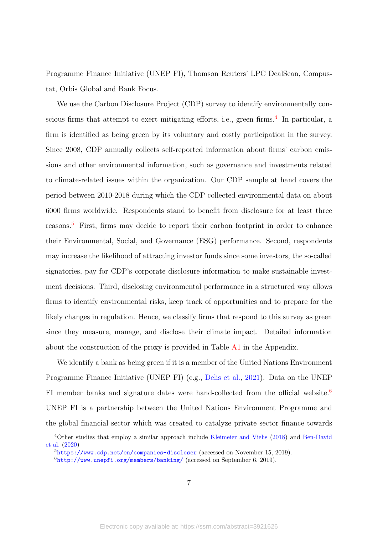Programme Finance Initiative (UNEP FI), Thomson Reuters' LPC DealScan, Compustat, Orbis Global and Bank Focus.

We use the Carbon Disclosure Project (CDP) survey to identify environmentally con-scious firms that attempt to exert mitigating efforts, i.e., green firms.<sup>[4](#page-7-0)</sup> In particular, a firm is identified as being green by its voluntary and costly participation in the survey. Since 2008, CDP annually collects self-reported information about firms' carbon emissions and other environmental information, such as governance and investments related to climate-related issues within the organization. Our CDP sample at hand covers the period between 2010-2018 during which the CDP collected environmental data on about 6000 firms worldwide. Respondents stand to benefit from disclosure for at least three reasons.[5](#page-7-1) First, firms may decide to report their carbon footprint in order to enhance their Environmental, Social, and Governance (ESG) performance. Second, respondents may increase the likelihood of attracting investor funds since some investors, the so-called signatories, pay for CDP's corporate disclosure information to make sustainable investment decisions. Third, disclosing environmental performance in a structured way allows firms to identify environmental risks, keep track of opportunities and to prepare for the likely changes in regulation. Hence, we classify firms that respond to this survey as green since they measure, manage, and disclose their climate impact. Detailed information about the construction of the proxy is provided in Table [A1](#page-47-0) in the Appendix.

We identify a bank as being green if it is a member of the United Nations Environment Programme Finance Initiative (UNEP FI) (e.g., [Delis et al.,](#page-32-5) [2021\)](#page-32-5). Data on the UNEP FI member banks and signature dates were hand-collected from the official website.<sup>[6](#page-7-2)</sup> UNEP FI is a partnership between the United Nations Environment Programme and the global financial sector which was created to catalyze private sector finance towards

<span id="page-7-0"></span><sup>4</sup>Other studies that employ a similar approach include [Kleimeier and Viehs](#page-33-3) [\(2018\)](#page-33-3) and [Ben-David](#page-31-6) [et al.](#page-31-6) [\(2020\)](#page-31-6)

<span id="page-7-1"></span><sup>5</sup><https://www.cdp.net/en/companies-discloser> (accessed on November 15, 2019).

<span id="page-7-2"></span> $6$ <http://www.unepfi.org/members/banking/> (accessed on September 6, 2019).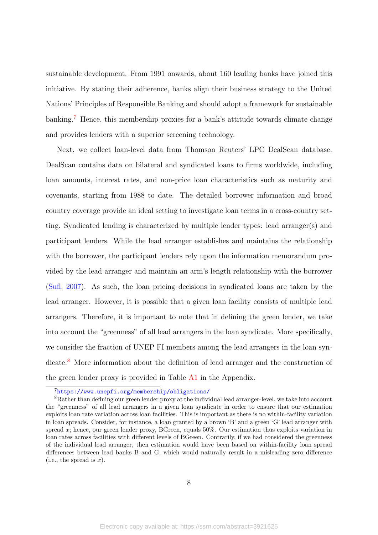sustainable development. From 1991 onwards, about 160 leading banks have joined this initiative. By stating their adherence, banks align their business strategy to the United Nations' Principles of Responsible Banking and should adopt a framework for sustainable banking.[7](#page-8-0) Hence, this membership proxies for a bank's attitude towards climate change and provides lenders with a superior screening technology.

Next, we collect loan-level data from Thomson Reuters' LPC DealScan database. DealScan contains data on bilateral and syndicated loans to firms worldwide, including loan amounts, interest rates, and non-price loan characteristics such as maturity and covenants, starting from 1988 to date. The detailed borrower information and broad country coverage provide an ideal setting to investigate loan terms in a cross-country setting. Syndicated lending is characterized by multiple lender types: lead arranger(s) and participant lenders. While the lead arranger establishes and maintains the relationship with the borrower, the participant lenders rely upon the information memorandum provided by the lead arranger and maintain an arm's length relationship with the borrower [\(Sufi,](#page-33-6) [2007\)](#page-33-6). As such, the loan pricing decisions in syndicated loans are taken by the lead arranger. However, it is possible that a given loan facility consists of multiple lead arrangers. Therefore, it is important to note that in defining the green lender, we take into account the "greenness" of all lead arrangers in the loan syndicate. More specifically, we consider the fraction of UNEP FI members among the lead arrangers in the loan syn-dicate.<sup>[8](#page-8-1)</sup> More information about the definition of lead arranger and the construction of the green lender proxy is provided in Table [A1](#page-47-0) in the Appendix.

<span id="page-8-1"></span><span id="page-8-0"></span><sup>7</sup><https://www.unepfi.org/membership/obligations/>

<sup>&</sup>lt;sup>8</sup>Rather than defining our green lender proxy at the individual lead arranger-level, we take into account the "greenness" of all lead arrangers in a given loan syndicate in order to ensure that our estimation exploits loan rate variation across loan facilities. This is important as there is no within-facility variation in loan spreads. Consider, for instance, a loan granted by a brown 'B' and a green 'G' lead arranger with spread x; hence, our green lender proxy, BGreen, equals  $50\%$ . Our estimation thus exploits variation in loan rates across facilities with different levels of BGreen. Contrarily, if we had considered the greenness of the individual lead arranger, then estimation would have been based on within-facility loan spread differences between lead banks B and G, which would naturally result in a misleading zero difference  $(i.e., the spread is x).$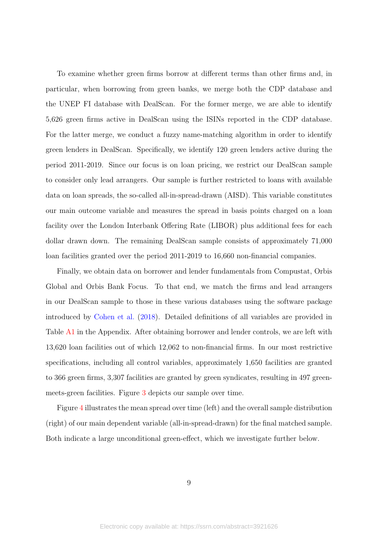To examine whether green firms borrow at different terms than other firms and, in particular, when borrowing from green banks, we merge both the CDP database and the UNEP FI database with DealScan. For the former merge, we are able to identify 5,626 green firms active in DealScan using the ISINs reported in the CDP database. For the latter merge, we conduct a fuzzy name-matching algorithm in order to identify green lenders in DealScan. Specifically, we identify 120 green lenders active during the period 2011-2019. Since our focus is on loan pricing, we restrict our DealScan sample to consider only lead arrangers. Our sample is further restricted to loans with available data on loan spreads, the so-called all-in-spread-drawn (AISD). This variable constitutes our main outcome variable and measures the spread in basis points charged on a loan facility over the London Interbank Offering Rate (LIBOR) plus additional fees for each dollar drawn down. The remaining DealScan sample consists of approximately 71,000 loan facilities granted over the period 2011-2019 to 16,660 non-financial companies.

Finally, we obtain data on borrower and lender fundamentals from Compustat, Orbis Global and Orbis Bank Focus. To that end, we match the firms and lead arrangers in our DealScan sample to those in these various databases using the software package introduced by [Cohen et al.](#page-31-7) [\(2018\)](#page-31-7). Detailed definitions of all variables are provided in Table [A1](#page-47-0) in the Appendix. After obtaining borrower and lender controls, we are left with 13,620 loan facilities out of which 12,062 to non-financial firms. In our most restrictive specifications, including all control variables, approximately 1,650 facilities are granted to 366 green firms, 3,307 facilities are granted by green syndicates, resulting in 497 greenmeets-green facilities. Figure [3](#page-45-0) depicts our sample over time.

Figure [4](#page-46-0) illustrates the mean spread over time (left) and the overall sample distribution (right) of our main dependent variable (all-in-spread-drawn) for the final matched sample. Both indicate a large unconditional green-effect, which we investigate further below.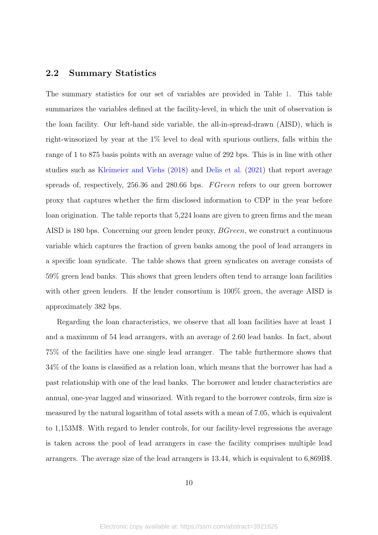### 2.2 Summary Statistics

The summary statistics for our set of variables are provided in Table [1.](#page-34-0) This table summarizes the variables defined at the facility-level, in which the unit of observation is the loan facility. Our left-hand side variable, the all-in-spread-drawn (AISD), which is right-winsorized by year at the 1% level to deal with spurious outliers, falls within the range of 1 to 875 basis points with an average value of 292 bps. This is in line with other studies such as [Kleimeier and Viehs](#page-33-3) [\(2018\)](#page-33-3) and [Delis et al.](#page-32-5) [\(2021\)](#page-32-5) that report average spreads of, respectively, 256.36 and 280.66 bps. F Green refers to our green borrower proxy that captures whether the firm disclosed information to CDP in the year before loan origination. The table reports that 5,224 loans are given to green firms and the mean AISD is 180 bps. Concerning our green lender proxy, BGreen, we construct a continuous variable which captures the fraction of green banks among the pool of lead arrangers in a specific loan syndicate. The table shows that green syndicates on average consists of 59% green lead banks. This shows that green lenders often tend to arrange loan facilities with other green lenders. If the lender consortium is  $100\%$  green, the average AISD is approximately 382 bps.

Regarding the loan characteristics, we observe that all loan facilities have at least 1 and a maximum of 54 lead arrangers, with an average of 2.60 lead banks. In fact, about 75% of the facilities have one single lead arranger. The table furthermore shows that 34% of the loans is classified as a relation loan, which means that the borrower has had a past relationship with one of the lead banks. The borrower and lender characteristics are annual, one-year lagged and winsorized. With regard to the borrower controls, firm size is measured by the natural logarithm of total assets with a mean of 7.05, which is equivalent to 1,153M\$. With regard to lender controls, for our facility-level regressions the average is taken across the pool of lead arrangers in case the facility comprises multiple lead arrangers. The average size of the lead arrangers is 13.44, which is equivalent to 6,869B\$.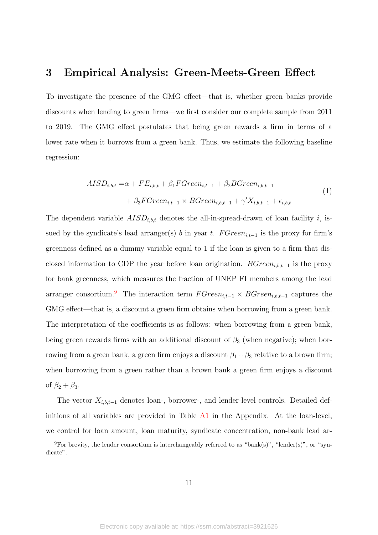# <span id="page-11-0"></span>3 Empirical Analysis: Green-Meets-Green Effect

To investigate the presence of the GMG effect—that is, whether green banks provide discounts when lending to green firms—we first consider our complete sample from 2011 to 2019. The GMG effect postulates that being green rewards a firm in terms of a lower rate when it borrows from a green bank. Thus, we estimate the following baseline regression:

<span id="page-11-2"></span>
$$
AISD_{i,b,t} = \alpha + FE_{i,b,t} + \beta_1 FGreen_{i,t-1} + \beta_2 BGreen_{i,b,t-1}
$$
  
+ 
$$
\beta_3 FGreen_{i,t-1} \times BGreen_{i,b,t-1} + \gamma' X_{i,b,t-1} + \epsilon_{i,b,t}
$$
 (1)

The dependent variable  $AISD_{i,b,t}$  denotes the all-in-spread-drawn of loan facility i, issued by the syndicate's lead arranger(s) b in year t.  $FGreen_{i,t-1}$  is the proxy for firm's greenness defined as a dummy variable equal to 1 if the loan is given to a firm that disclosed information to CDP the year before loan origination.  $BGreen_{i,b,t-1}$  is the proxy for bank greenness, which measures the fraction of UNEP FI members among the lead arranger consortium.<sup>[9](#page-11-1)</sup> The interaction term  $FGreen_{i,t-1} \times BGreen_{i,b,t-1}$  captures the GMG effect—that is, a discount a green firm obtains when borrowing from a green bank. The interpretation of the coefficients is as follows: when borrowing from a green bank, being green rewards firms with an additional discount of  $\beta_3$  (when negative); when borrowing from a green bank, a green firm enjoys a discount  $\beta_1 + \beta_3$  relative to a brown firm; when borrowing from a green rather than a brown bank a green firm enjoys a discount of  $\beta_2 + \beta_3$ .

The vector  $X_{i,b,t-1}$  denotes loan-, borrower-, and lender-level controls. Detailed definitions of all variables are provided in Table  $A1$  in the Appendix. At the loan-level, we control for loan amount, loan maturity, syndicate concentration, non-bank lead ar-

<span id="page-11-1"></span><sup>&</sup>lt;sup>9</sup>For brevity, the lender consortium is interchangeably referred to as "bank(s)", "lender(s)", or "syndicate".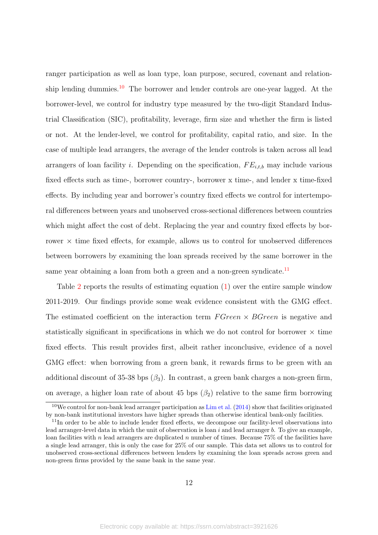ranger participation as well as loan type, loan purpose, secured, covenant and relation-ship lending dummies.<sup>[10](#page-12-0)</sup> The borrower and lender controls are one-year lagged. At the borrower-level, we control for industry type measured by the two-digit Standard Industrial Classification (SIC), profitability, leverage, firm size and whether the firm is listed or not. At the lender-level, we control for profitability, capital ratio, and size. In the case of multiple lead arrangers, the average of the lender controls is taken across all lead arrangers of loan facility i. Depending on the specification,  $FE_{i,t,b}$  may include various fixed effects such as time-, borrower country-, borrower x time-, and lender x time-fixed effects. By including year and borrower's country fixed effects we control for intertemporal differences between years and unobserved cross-sectional differences between countries which might affect the cost of debt. Replacing the year and country fixed effects by borrower  $\times$  time fixed effects, for example, allows us to control for unobserved differences between borrowers by examining the loan spreads received by the same borrower in the same year obtaining a loan from both a green and a non-green syndicate.<sup>[11](#page-12-1)</sup>

Table [2](#page-35-0) reports the results of estimating equation [\(1\)](#page-11-2) over the entire sample window 2011-2019. Our findings provide some weak evidence consistent with the GMG effect. The estimated coefficient on the interaction term  $FGreen \times BGreen$  is negative and statistically significant in specifications in which we do not control for borrower  $\times$  time fixed effects. This result provides first, albeit rather inconclusive, evidence of a novel GMG effect: when borrowing from a green bank, it rewards firms to be green with an additional discount of 35-38 bps  $(\beta_3)$ . In contrast, a green bank charges a non-green firm, on average, a higher loan rate of about 45 bps  $(\beta_2)$  relative to the same firm borrowing

<span id="page-12-0"></span> $10$ We control for non-bank lead arranger participation as [Lim et al.](#page-33-7) [\(2014\)](#page-33-7) show that facilities originated by non-bank institutional investors have higher spreads than otherwise identical bank-only facilities.

<span id="page-12-1"></span><sup>&</sup>lt;sup>11</sup>In order to be able to include lender fixed effects, we decompose our facility-level observations into lead arranger-level data in which the unit of observation is loan  $i$  and lead arranger  $b$ . To give an example, loan facilities with n lead arrangers are duplicated n number of times. Because  $75\%$  of the facilities have a single lead arranger, this is only the case for 25% of our sample. This data set allows us to control for unobserved cross-sectional differences between lenders by examining the loan spreads across green and non-green firms provided by the same bank in the same year.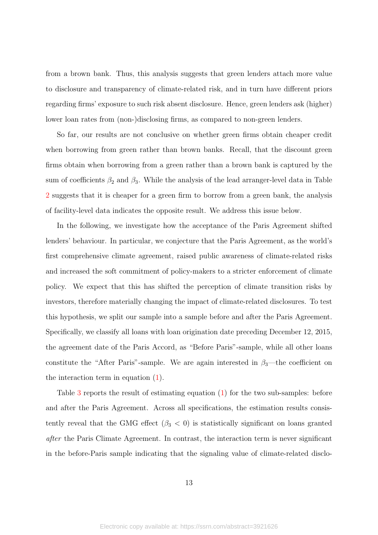from a brown bank. Thus, this analysis suggests that green lenders attach more value to disclosure and transparency of climate-related risk, and in turn have different priors regarding firms' exposure to such risk absent disclosure. Hence, green lenders ask (higher) lower loan rates from (non-)disclosing firms, as compared to non-green lenders.

So far, our results are not conclusive on whether green firms obtain cheaper credit when borrowing from green rather than brown banks. Recall, that the discount green firms obtain when borrowing from a green rather than a brown bank is captured by the sum of coefficients  $\beta_2$  and  $\beta_3$ . While the analysis of the lead arranger-level data in Table [2](#page-35-0) suggests that it is cheaper for a green firm to borrow from a green bank, the analysis of facility-level data indicates the opposite result. We address this issue below.

In the following, we investigate how the acceptance of the Paris Agreement shifted lenders' behaviour. In particular, we conjecture that the Paris Agreement, as the world's first comprehensive climate agreement, raised public awareness of climate-related risks and increased the soft commitment of policy-makers to a stricter enforcement of climate policy. We expect that this has shifted the perception of climate transition risks by investors, therefore materially changing the impact of climate-related disclosures. To test this hypothesis, we split our sample into a sample before and after the Paris Agreement. Specifically, we classify all loans with loan origination date preceding December 12, 2015, the agreement date of the Paris Accord, as "Before Paris"-sample, while all other loans constitute the "After Paris"-sample. We are again interested in  $\beta_3$ —the coefficient on the interaction term in equation [\(1\)](#page-11-2).

Table [3](#page-36-0) reports the result of estimating equation [\(1\)](#page-11-2) for the two sub-samples: before and after the Paris Agreement. Across all specifications, the estimation results consistently reveal that the GMG effect  $(\beta_3 < 0)$  is statistically significant on loans granted after the Paris Climate Agreement. In contrast, the interaction term is never significant in the before-Paris sample indicating that the signaling value of climate-related disclo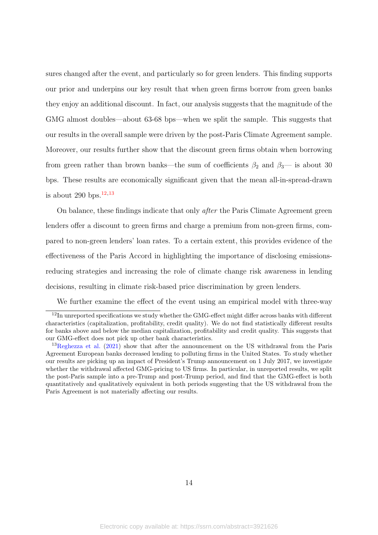sures changed after the event, and particularly so for green lenders. This finding supports our prior and underpins our key result that when green firms borrow from green banks they enjoy an additional discount. In fact, our analysis suggests that the magnitude of the GMG almost doubles—about 63-68 bps—when we split the sample. This suggests that our results in the overall sample were driven by the post-Paris Climate Agreement sample. Moreover, our results further show that the discount green firms obtain when borrowing from green rather than brown banks—the sum of coefficients  $\beta_2$  and  $\beta_3$ — is about 30 bps. These results are economically significant given that the mean all-in-spread-drawn is about 290 bps. $12,13$  $12,13$  $12,13$ 

On balance, these findings indicate that only after the Paris Climate Agreement green lenders offer a discount to green firms and charge a premium from non-green firms, compared to non-green lenders' loan rates. To a certain extent, this provides evidence of the effectiveness of the Paris Accord in highlighting the importance of disclosing emissionsreducing strategies and increasing the role of climate change risk awareness in lending decisions, resulting in climate risk-based price discrimination by green lenders.

<span id="page-14-0"></span>We further examine the effect of the event using an empirical model with three-way

<sup>&</sup>lt;sup>12</sup>In unreported specifications we study whether the GMG-effect might differ across banks with different characteristics (capitalization, profitability, credit quality). We do not find statistically different results for banks above and below the median capitalization, profitability and credit quality. This suggests that our GMG-effect does not pick up other bank characteristics.

<span id="page-14-1"></span><sup>13</sup>[Reghezza et al.](#page-33-5) [\(2021\)](#page-33-5) show that after the announcement on the US withdrawal from the Paris Agreement European banks decreased lending to polluting firms in the United States. To study whether our results are picking up an impact of President's Trump announcement on 1 July 2017, we investigate whether the withdrawal affected GMG-pricing to US firms. In particular, in unreported results, we split the post-Paris sample into a pre-Trump and post-Trump period, and find that the GMG-effect is both quantitatively and qualitatively equivalent in both periods suggesting that the US withdrawal from the Paris Agreement is not materially affecting our results.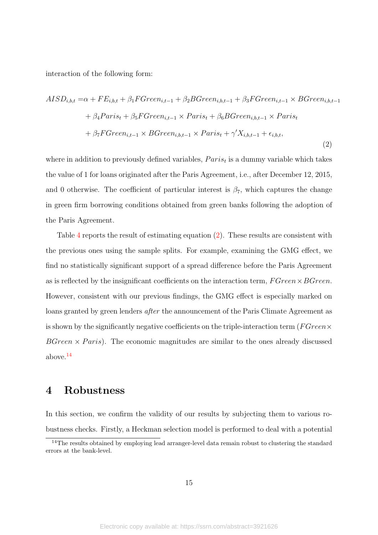interaction of the following form:

<span id="page-15-1"></span>
$$
AISD_{i,b,t} = \alpha + FE_{i,b,t} + \beta_1 FGreen_{i,t-1} + \beta_2 BGreen_{i,b,t-1} + \beta_3 FGreen_{i,t-1} \times BGreen_{i,b,t-1}
$$

$$
+ \beta_4 Paris_t + \beta_5 FGreen_{i,t-1} \times Paris_t + \beta_6 BGreen_{i,b,t-1} \times Paris_t
$$

$$
+ \beta_7 FGreen_{i,t-1} \times BGreen_{i,b,t-1} \times Paris_t + \gamma' X_{i,b,t-1} + \epsilon_{i,b,t},
$$
\n(2)

where in addition to previously defined variables,  $Paris_t$  is a dummy variable which takes the value of 1 for loans originated after the Paris Agreement, i.e., after December 12, 2015, and 0 otherwise. The coefficient of particular interest is  $\beta_7$ , which captures the change in green firm borrowing conditions obtained from green banks following the adoption of the Paris Agreement.

Table [4](#page-37-0) reports the result of estimating equation [\(2\)](#page-15-1). These results are consistent with the previous ones using the sample splits. For example, examining the GMG effect, we find no statistically significant support of a spread difference before the Paris Agreement as is reflected by the insignificant coefficients on the interaction term,  $FGreen \times BGreen$ . However, consistent with our previous findings, the GMG effect is especially marked on loans granted by green lenders *after* the announcement of the Paris Climate Agreement as is shown by the significantly negative coefficients on the triple-interaction term ( $FGreen \times$  $BGreen \times Paris$ ). The economic magnitudes are similar to the ones already discussed above.[14](#page-15-2)

# <span id="page-15-0"></span>4 Robustness

In this section, we confirm the validity of our results by subjecting them to various robustness checks. Firstly, a Heckman selection model is performed to deal with a potential

<span id="page-15-2"></span><sup>&</sup>lt;sup>14</sup>The results obtained by employing lead arranger-level data remain robust to clustering the standard errors at the bank-level.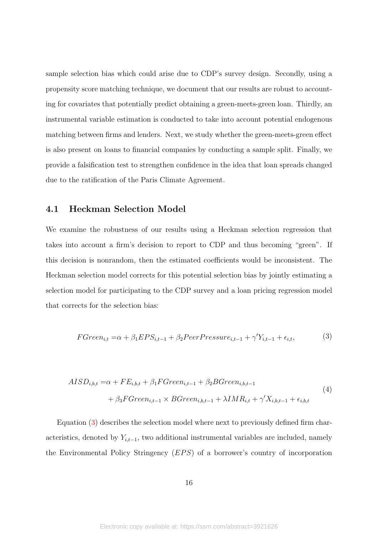sample selection bias which could arise due to CDP's survey design. Secondly, using a propensity score matching technique, we document that our results are robust to accounting for covariates that potentially predict obtaining a green-meets-green loan. Thirdly, an instrumental variable estimation is conducted to take into account potential endogenous matching between firms and lenders. Next, we study whether the green-meets-green effect is also present on loans to financial companies by conducting a sample split. Finally, we provide a falsification test to strengthen confidence in the idea that loan spreads changed due to the ratification of the Paris Climate Agreement.

### 4.1 Heckman Selection Model

We examine the robustness of our results using a Heckman selection regression that takes into account a firm's decision to report to CDP and thus becoming "green". If this decision is nonrandom, then the estimated coefficients would be inconsistent. The Heckman selection model corrects for this potential selection bias by jointly estimating a selection model for participating to the CDP survey and a loan pricing regression model that corrects for the selection bias:

<span id="page-16-0"></span>
$$
FGreen_{i,t} = \alpha + \beta_1 EPS_{i,t-1} + \beta_2 PeerPressure_{i,t-1} + \gamma'Y_{i,t-1} + \epsilon_{i,t},
$$
\n(3)

<span id="page-16-1"></span>
$$
AISD_{i,b,t} = \alpha + FE_{i,b,t} + \beta_1 FGreen_{i,t-1} + \beta_2 BGreen_{i,b,t-1}
$$
  
+ 
$$
\beta_3 FGreen_{i,t-1} \times BGreen_{i,b,t-1} + \lambda IMR_{i,t} + \gamma' X_{i,b,t-1} + \epsilon_{i,b,t}
$$
 (4)

Equation [\(3\)](#page-16-0) describes the selection model where next to previously defined firm characteristics, denoted by  $Y_{i,t-1}$ , two additional instrumental variables are included, namely the Environmental Policy Stringency  $(EPS)$  of a borrower's country of incorporation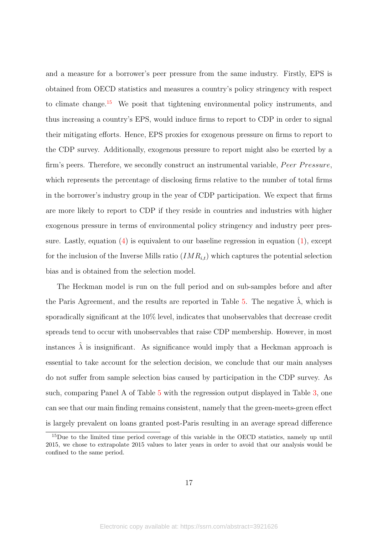and a measure for a borrower's peer pressure from the same industry. Firstly, EPS is obtained from OECD statistics and measures a country's policy stringency with respect to climate change.<sup>[15](#page-17-0)</sup> We posit that tightening environmental policy instruments, and thus increasing a country's EPS, would induce firms to report to CDP in order to signal their mitigating efforts. Hence, EPS proxies for exogenous pressure on firms to report to the CDP survey. Additionally, exogenous pressure to report might also be exerted by a firm's peers. Therefore, we secondly construct an instrumental variable, *Peer Pressure*, which represents the percentage of disclosing firms relative to the number of total firms in the borrower's industry group in the year of CDP participation. We expect that firms are more likely to report to CDP if they reside in countries and industries with higher exogenous pressure in terms of environmental policy stringency and industry peer pressure. Lastly, equation  $(4)$  is equivalent to our baseline regression in equation  $(1)$ , except for the inclusion of the Inverse Mills ratio  $(IMR_{i,t})$  which captures the potential selection bias and is obtained from the selection model.

The Heckman model is run on the full period and on sub-samples before and after the Paris Agreement, and the results are reported in Table [5.](#page-38-0) The negative  $\hat{\lambda}$ , which is sporadically significant at the 10% level, indicates that unobservables that decrease credit spreads tend to occur with unobservables that raise CDP membership. However, in most instances  $\lambda$  is insignificant. As significance would imply that a Heckman approach is essential to take account for the selection decision, we conclude that our main analyses do not suffer from sample selection bias caused by participation in the CDP survey. As such, comparing Panel A of Table [5](#page-38-0) with the regression output displayed in Table [3,](#page-36-0) one can see that our main finding remains consistent, namely that the green-meets-green effect is largely prevalent on loans granted post-Paris resulting in an average spread difference

<span id="page-17-0"></span><sup>15</sup>Due to the limited time period coverage of this variable in the OECD statistics, namely up until 2015, we chose to extrapolate 2015 values to later years in order to avoid that our analysis would be confined to the same period.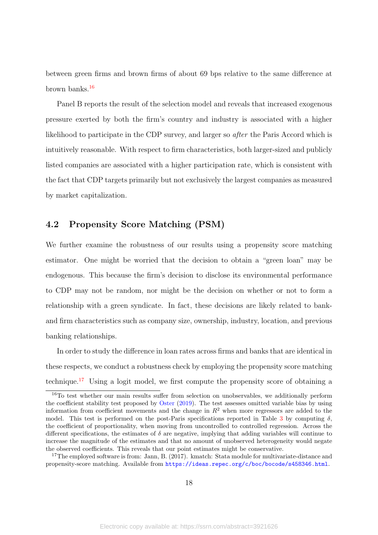between green firms and brown firms of about 69 bps relative to the same difference at brown banks.[16](#page-18-0)

Panel B reports the result of the selection model and reveals that increased exogenous pressure exerted by both the firm's country and industry is associated with a higher likelihood to participate in the CDP survey, and larger so *after* the Paris Accord which is intuitively reasonable. With respect to firm characteristics, both larger-sized and publicly listed companies are associated with a higher participation rate, which is consistent with the fact that CDP targets primarily but not exclusively the largest companies as measured by market capitalization.

## 4.2 Propensity Score Matching (PSM)

We further examine the robustness of our results using a propensity score matching estimator. One might be worried that the decision to obtain a "green loan" may be endogenous. This because the firm's decision to disclose its environmental performance to CDP may not be random, nor might be the decision on whether or not to form a relationship with a green syndicate. In fact, these decisions are likely related to bankand firm characteristics such as company size, ownership, industry, location, and previous banking relationships.

In order to study the difference in loan rates across firms and banks that are identical in these respects, we conduct a robustness check by employing the propensity score matching technique.[17](#page-18-1) Using a logit model, we first compute the propensity score of obtaining a

<span id="page-18-0"></span><sup>&</sup>lt;sup>16</sup>To test whether our main results suffer from selection on unobservables, we additionally perform the coefficient stability test proposed by [Oster](#page-33-8) [\(2019\)](#page-33-8). The test assesses omitted variable bias by using information from coefficient movements and the change in  $R^2$  when more regressors are added to the model. This test is performed on the post-Paris specifications reported in Table [3](#page-36-0) by computing  $\delta$ , the coefficient of proportionality, when moving from uncontrolled to controlled regression. Across the different specifications, the estimates of  $\delta$  are negative, implying that adding variables will continue to increase the magnitude of the estimates and that no amount of unobserved heterogeneity would negate the observed coefficients. This reveals that our point estimates might be conservative.

<span id="page-18-1"></span><sup>&</sup>lt;sup>17</sup>The employed software is from: Jann, B. (2017). kmatch: Stata module for multivariate-distance and propensity-score matching. Available from <https://ideas.repec.org/c/boc/bocode/s458346.html>.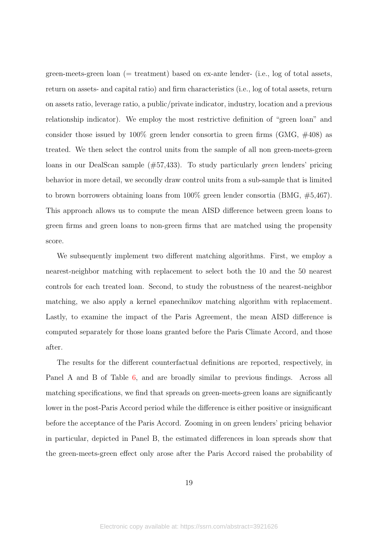green-meets-green loan (= treatment) based on ex-ante lender- (i.e., log of total assets, return on assets- and capital ratio) and firm characteristics (i.e., log of total assets, return on assets ratio, leverage ratio, a public/private indicator, industry, location and a previous relationship indicator). We employ the most restrictive definition of "green loan" and consider those issued by  $100\%$  green lender consortia to green firms (GMG,  $\#408$ ) as treated. We then select the control units from the sample of all non green-meets-green loans in our DealScan sample (#57,433). To study particularly green lenders' pricing behavior in more detail, we secondly draw control units from a sub-sample that is limited to brown borrowers obtaining loans from 100% green lender consortia (BMG, #5,467). This approach allows us to compute the mean AISD difference between green loans to green firms and green loans to non-green firms that are matched using the propensity score.

We subsequently implement two different matching algorithms. First, we employ a nearest-neighbor matching with replacement to select both the 10 and the 50 nearest controls for each treated loan. Second, to study the robustness of the nearest-neighbor matching, we also apply a kernel epanechnikov matching algorithm with replacement. Lastly, to examine the impact of the Paris Agreement, the mean AISD difference is computed separately for those loans granted before the Paris Climate Accord, and those after.

The results for the different counterfactual definitions are reported, respectively, in Panel A and B of Table [6,](#page-39-0) and are broadly similar to previous findings. Across all matching specifications, we find that spreads on green-meets-green loans are significantly lower in the post-Paris Accord period while the difference is either positive or insignificant before the acceptance of the Paris Accord. Zooming in on green lenders' pricing behavior in particular, depicted in Panel B, the estimated differences in loan spreads show that the green-meets-green effect only arose after the Paris Accord raised the probability of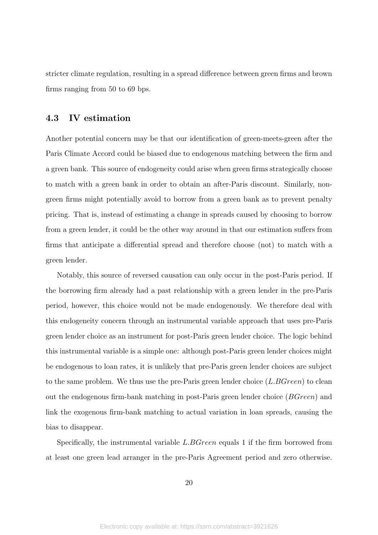stricter climate regulation, resulting in a spread difference between green firms and brown firms ranging from 50 to 69 bps.

## 4.3 IV estimation

Another potential concern may be that our identification of green-meets-green after the Paris Climate Accord could be biased due to endogenous matching between the firm and a green bank. This source of endogeneity could arise when green firms strategically choose to match with a green bank in order to obtain an after-Paris discount. Similarly, nongreen firms might potentially avoid to borrow from a green bank as to prevent penalty pricing. That is, instead of estimating a change in spreads caused by choosing to borrow from a green lender, it could be the other way around in that our estimation suffers from firms that anticipate a differential spread and therefore choose (not) to match with a green lender.

Notably, this source of reversed causation can only occur in the post-Paris period. If the borrowing firm already had a past relationship with a green lender in the pre-Paris period, however, this choice would not be made endogenously. We therefore deal with this endogeneity concern through an instrumental variable approach that uses pre-Paris green lender choice as an instrument for post-Paris green lender choice. The logic behind this instrumental variable is a simple one: although post-Paris green lender choices might be endogenous to loan rates, it is unlikely that pre-Paris green lender choices are subject to the same problem. We thus use the pre-Paris green lender choice  $(L.BGreen)$  to clean out the endogenous firm-bank matching in post-Paris green lender choice (BGreen) and link the exogenous firm-bank matching to actual variation in loan spreads, causing the bias to disappear.

Specifically, the instrumental variable L.BGreen equals 1 if the firm borrowed from at least one green lead arranger in the pre-Paris Agreement period and zero otherwise.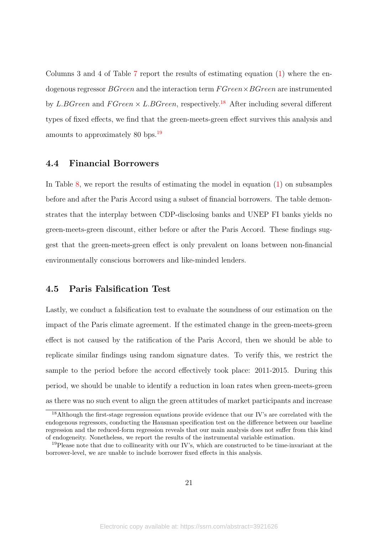Columns 3 and 4 of Table [7](#page-40-0) report the results of estimating equation [\(1\)](#page-11-2) where the endogenous regressor  $BGreen$  and the interaction term  $FGreen \times BGreen$  are instrumented by L.BGreen and  $FGreen \times L.BGreen$ , respectively.<sup>[18](#page-21-0)</sup> After including several different types of fixed effects, we find that the green-meets-green effect survives this analysis and amounts to approximately 80 bps.[19](#page-21-1)

## 4.4 Financial Borrowers

In Table  $8$ , we report the results of estimating the model in equation  $(1)$  on subsamples before and after the Paris Accord using a subset of financial borrowers. The table demonstrates that the interplay between CDP-disclosing banks and UNEP FI banks yields no green-meets-green discount, either before or after the Paris Accord. These findings suggest that the green-meets-green effect is only prevalent on loans between non-financial environmentally conscious borrowers and like-minded lenders.

### 4.5 Paris Falsification Test

Lastly, we conduct a falsification test to evaluate the soundness of our estimation on the impact of the Paris climate agreement. If the estimated change in the green-meets-green effect is not caused by the ratification of the Paris Accord, then we should be able to replicate similar findings using random signature dates. To verify this, we restrict the sample to the period before the accord effectively took place: 2011-2015. During this period, we should be unable to identify a reduction in loan rates when green-meets-green as there was no such event to align the green attitudes of market participants and increase

<span id="page-21-0"></span><sup>&</sup>lt;sup>18</sup>Although the first-stage regression equations provide evidence that our IV's are correlated with the endogenous regressors, conducting the Hausman specification test on the difference between our baseline regression and the reduced-form regression reveals that our main analysis does not suffer from this kind of endogeneity. Nonetheless, we report the results of the instrumental variable estimation.

<span id="page-21-1"></span><sup>&</sup>lt;sup>19</sup>Please note that due to collinearity with our IV's, which are constructed to be time-invariant at the borrower-level, we are unable to include borrower fixed effects in this analysis.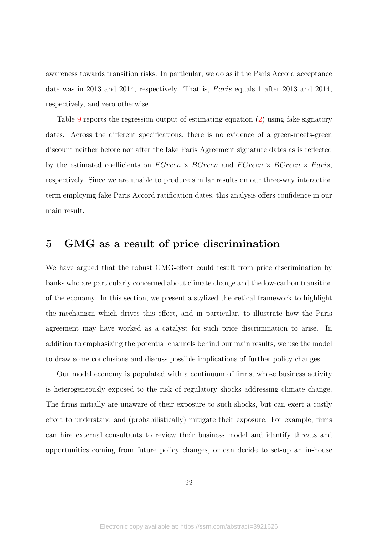awareness towards transition risks. In particular, we do as if the Paris Accord acceptance date was in 2013 and 2014, respectively. That is, *Paris* equals 1 after 2013 and 2014, respectively, and zero otherwise.

Table [9](#page-42-0) reports the regression output of estimating equation [\(2\)](#page-15-1) using fake signatory dates. Across the different specifications, there is no evidence of a green-meets-green discount neither before nor after the fake Paris Agreement signature dates as is reflected by the estimated coefficients on  $F$ Green  $\times$  BGreen and  $F$ Green  $\times$  BGreen  $\times$  Paris, respectively. Since we are unable to produce similar results on our three-way interaction term employing fake Paris Accord ratification dates, this analysis offers confidence in our main result.

# <span id="page-22-0"></span>5 GMG as a result of price discrimination

We have argued that the robust GMG-effect could result from price discrimination by banks who are particularly concerned about climate change and the low-carbon transition of the economy. In this section, we present a stylized theoretical framework to highlight the mechanism which drives this effect, and in particular, to illustrate how the Paris agreement may have worked as a catalyst for such price discrimination to arise. In addition to emphasizing the potential channels behind our main results, we use the model to draw some conclusions and discuss possible implications of further policy changes.

Our model economy is populated with a continuum of firms, whose business activity is heterogeneously exposed to the risk of regulatory shocks addressing climate change. The firms initially are unaware of their exposure to such shocks, but can exert a costly effort to understand and (probabilistically) mitigate their exposure. For example, firms can hire external consultants to review their business model and identify threats and opportunities coming from future policy changes, or can decide to set-up an in-house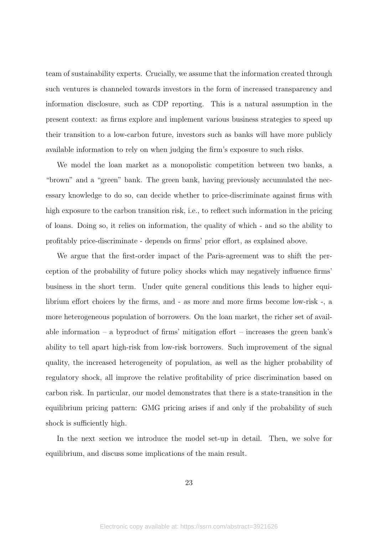team of sustainability experts. Crucially, we assume that the information created through such ventures is channeled towards investors in the form of increased transparency and information disclosure, such as CDP reporting. This is a natural assumption in the present context: as firms explore and implement various business strategies to speed up their transition to a low-carbon future, investors such as banks will have more publicly available information to rely on when judging the firm's exposure to such risks.

We model the loan market as a monopolistic competition between two banks, a "brown" and a "green" bank. The green bank, having previously accumulated the necessary knowledge to do so, can decide whether to price-discriminate against firms with high exposure to the carbon transition risk, i.e., to reflect such information in the pricing of loans. Doing so, it relies on information, the quality of which - and so the ability to profitably price-discriminate - depends on firms' prior effort, as explained above.

We argue that the first-order impact of the Paris-agreement was to shift the perception of the probability of future policy shocks which may negatively influence firms' business in the short term. Under quite general conditions this leads to higher equilibrium effort choices by the firms, and - as more and more firms become low-risk -, a more heterogeneous population of borrowers. On the loan market, the richer set of available information – a byproduct of firms' mitigation effort – increases the green bank's ability to tell apart high-risk from low-risk borrowers. Such improvement of the signal quality, the increased heterogeneity of population, as well as the higher probability of regulatory shock, all improve the relative profitability of price discrimination based on carbon risk. In particular, our model demonstrates that there is a state-transition in the equilibrium pricing pattern: GMG pricing arises if and only if the probability of such shock is sufficiently high.

In the next section we introduce the model set-up in detail. Then, we solve for equilibrium, and discuss some implications of the main result.

23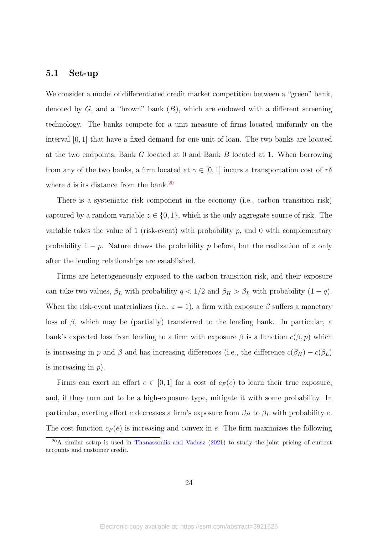### 5.1 Set-up

We consider a model of differentiated credit market competition between a "green" bank, denoted by  $G$ , and a "brown" bank  $(B)$ , which are endowed with a different screening technology. The banks compete for a unit measure of firms located uniformly on the interval  $[0, 1]$  that have a fixed demand for one unit of loan. The two banks are located at the two endpoints, Bank G located at 0 and Bank B located at 1. When borrowing from any of the two banks, a firm located at  $\gamma \in [0, 1]$  incurs a transportation cost of  $\tau \delta$ where  $\delta$  is its distance from the bank.<sup>[20](#page-24-0)</sup>

There is a systematic risk component in the economy (i.e., carbon transition risk) captured by a random variable  $z \in \{0, 1\}$ , which is the only aggregate source of risk. The variable takes the value of 1 (risk-event) with probability  $p$ , and 0 with complementary probability  $1 - p$ . Nature draws the probability p before, but the realization of z only after the lending relationships are established.

Firms are heterogeneously exposed to the carbon transition risk, and their exposure can take two values,  $\beta_L$  with probability  $q < 1/2$  and  $\beta_H > \beta_L$  with probability  $(1 - q)$ . When the risk-event materializes (i.e.,  $z = 1$ ), a firm with exposure  $\beta$  suffers a monetary loss of  $\beta$ , which may be (partially) transferred to the lending bank. In particular, a bank's expected loss from lending to a firm with exposure  $\beta$  is a function  $c(\beta, p)$  which is increasing in p and  $\beta$  and has increasing differences (i.e., the difference  $c(\beta_H) - c(\beta_L)$ is increasing in  $p$ ).

Firms can exert an effort  $e \in [0,1]$  for a cost of  $c_F(e)$  to learn their true exposure, and, if they turn out to be a high-exposure type, mitigate it with some probability. In particular, exerting effort  $e$  decreases a firm's exposure from  $\beta_H$  to  $\beta_L$  with probability  $e.$ The cost function  $c_F(e)$  is increasing and convex in e. The firm maximizes the following

<span id="page-24-0"></span> $20$ A similar setup is used in [Thanassoulis and Vadasz](#page-33-9) [\(2021\)](#page-33-9) to study the joint pricing of current accounts and customer credit.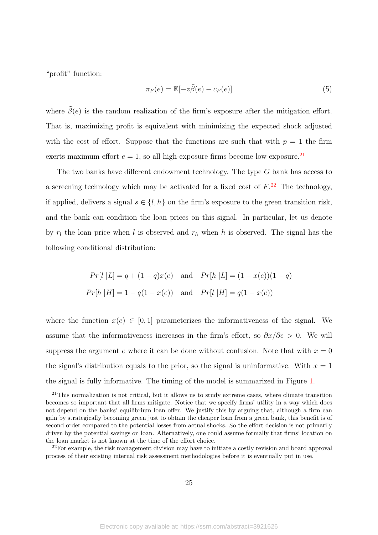"profit" function:

$$
\pi_F(e) = \mathbb{E}[-z\tilde{\beta}(e) - c_F(e)]\tag{5}
$$

where  $\tilde{\beta}(e)$  is the random realization of the firm's exposure after the mitigation effort. That is, maximizing profit is equivalent with minimizing the expected shock adjusted with the cost of effort. Suppose that the functions are such that with  $p = 1$  the firm exerts maximum effort  $e = 1$ , so all high-exposure firms become low-exposure.<sup>[21](#page-25-0)</sup>

The two banks have different endowment technology. The type G bank has access to a screening technology which may be activated for a fixed cost of  $F<sup>22</sup>$  $F<sup>22</sup>$  $F<sup>22</sup>$ . The technology, if applied, delivers a signal  $s \in \{l, h\}$  on the firm's exposure to the green transition risk, and the bank can condition the loan prices on this signal. In particular, let us denote by  $r_l$  the loan price when l is observed and  $r_h$  when h is observed. The signal has the following conditional distribution:

$$
Pr[l | L] = q + (1 - q)x(e) \text{ and } Pr[h | L] = (1 - x(e))(1 - q)
$$
  

$$
Pr[h | H] = 1 - q(1 - x(e)) \text{ and } Pr[l | H] = q(1 - x(e))
$$

where the function  $x(e) \in [0,1]$  parameterizes the informativeness of the signal. We assume that the informativeness increases in the firm's effort, so  $\partial x/\partial e > 0$ . We will suppress the argument e where it can be done without confusion. Note that with  $x = 0$ the signal's distribution equals to the prior, so the signal is uninformative. With  $x = 1$ the signal is fully informative. The timing of the model is summarized in Figure [1.](#page-43-0)

<span id="page-25-0"></span><sup>21</sup>This normalization is not critical, but it allows us to study extreme cases, where climate transition becomes so important that all firms mitigate. Notice that we specify firms' utility in a way which does not depend on the banks' equilibrium loan offer. We justify this by arguing that, although a firm can gain by strategically becoming green just to obtain the cheaper loan from a green bank, this benefit is of second order compared to the potential losses from actual shocks. So the effort decision is not primarily driven by the potential savings on loan. Alternatively, one could assume formally that firms' location on the loan market is not known at the time of the effort choice.

<span id="page-25-1"></span> $22$ For example, the risk management division may have to initiate a costly revision and board approval process of their existing internal risk assessment methodologies before it is eventually put in use.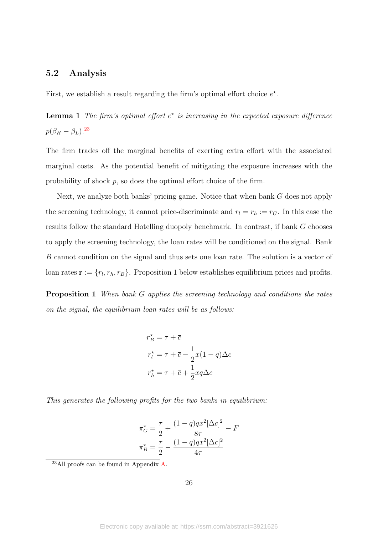### 5.2 Analysis

First, we establish a result regarding the firm's optimal effort choice  $e^*$ .

**Lemma 1** The firm's optimal effort  $e^*$  is increasing in the expected exposure difference  $p(\beta_H - \beta_L).^{23}$  $p(\beta_H - \beta_L).^{23}$  $p(\beta_H - \beta_L).^{23}$ 

The firm trades off the marginal benefits of exerting extra effort with the associated marginal costs. As the potential benefit of mitigating the exposure increases with the probability of shock p, so does the optimal effort choice of the firm.

Next, we analyze both banks' pricing game. Notice that when bank G does not apply the screening technology, it cannot price-discriminate and  $r_l = r_h := r_G$ . In this case the results follow the standard Hotelling duopoly benchmark. In contrast, if bank G chooses to apply the screening technology, the loan rates will be conditioned on the signal. Bank B cannot condition on the signal and thus sets one loan rate. The solution is a vector of loan rates  $\mathbf{r} := \{r_l, r_h, r_B\}$ . Proposition 1 below establishes equilibrium prices and profits.

Proposition 1 When bank G applies the screening technology and conditions the rates on the signal, the equilibrium loan rates will be as follows:

$$
r_B^* = \tau + \overline{c}
$$
  

$$
r_l^* = \tau + \overline{c} - \frac{1}{2}x(1-q)\Delta c
$$
  

$$
r_h^* = \tau + \overline{c} + \frac{1}{2}xq\Delta c
$$

This generates the following profits for the two banks in equilibrium:

$$
\pi_G^{\star} = \frac{\tau}{2} + \frac{(1-q)qx^2[\Delta c]^2}{8\tau} - F
$$

$$
\pi_B^{\star} = \frac{\tau}{2} - \frac{(1-q)qx^2[\Delta c]^2}{4\tau}
$$

26

<span id="page-26-0"></span> $^{23}$ All proofs can be found in Appendix [A.](#page-49-0)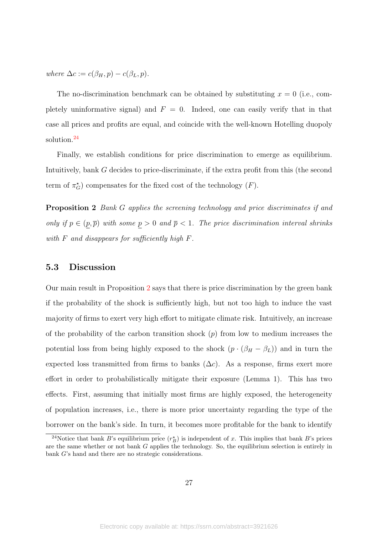where  $\Delta c := c(\beta_H, p) - c(\beta_L, p)$ .

The no-discrimination benchmark can be obtained by substituting  $x = 0$  (i.e., completely uninformative signal) and  $F = 0$ . Indeed, one can easily verify that in that case all prices and profits are equal, and coincide with the well-known Hotelling duopoly solution.[24](#page-27-0)

<span id="page-27-1"></span>Finally, we establish conditions for price discrimination to emerge as equilibrium. Intuitively, bank G decides to price-discriminate, if the extra profit from this (the second term of  $\pi_G^{\star}$ ) compensates for the fixed cost of the technology  $(F)$ .

Proposition 2 Bank G applies the screening technology and price discriminates if and only if  $p \in (p, \overline{p})$  with some  $p > 0$  and  $\overline{p} < 1$ . The price discrimination interval shrinks with F and disappears for sufficiently high F.

### 5.3 Discussion

Our main result in Proposition [2](#page-27-1) says that there is price discrimination by the green bank if the probability of the shock is sufficiently high, but not too high to induce the vast majority of firms to exert very high effort to mitigate climate risk. Intuitively, an increase of the probability of the carbon transition shock  $(p)$  from low to medium increases the potential loss from being highly exposed to the shock  $(p \cdot (\beta_H - \beta_L))$  and in turn the expected loss transmitted from firms to banks  $(\Delta c)$ . As a response, firms exert more effort in order to probabilistically mitigate their exposure (Lemma 1). This has two effects. First, assuming that initially most firms are highly exposed, the heterogeneity of population increases, i.e., there is more prior uncertainty regarding the type of the borrower on the bank's side. In turn, it becomes more profitable for the bank to identify

<span id="page-27-0"></span><sup>&</sup>lt;sup>24</sup>Notice that bank B's equilibrium price  $(r_B^{\star})$  is independent of x. This implies that bank B's prices are the same whether or not bank G applies the technology. So, the equilibrium selection is entirely in bank G's hand and there are no strategic considerations.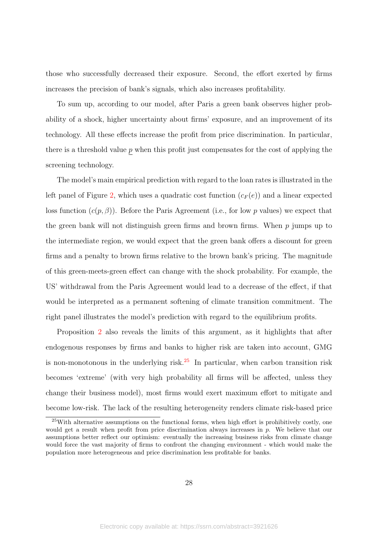those who successfully decreased their exposure. Second, the effort exerted by firms increases the precision of bank's signals, which also increases profitability.

To sum up, according to our model, after Paris a green bank observes higher probability of a shock, higher uncertainty about firms' exposure, and an improvement of its technology. All these effects increase the profit from price discrimination. In particular, there is a threshold value  $p$  when this profit just compensates for the cost of applying the screening technology.

The model's main empirical prediction with regard to the loan rates is illustrated in the left panel of Figure [2,](#page-44-0) which uses a quadratic cost function  $(c_F(e))$  and a linear expected loss function  $(c(p, \beta))$ . Before the Paris Agreement (i.e., for low p values) we expect that the green bank will not distinguish green firms and brown firms. When  $p$  jumps up to the intermediate region, we would expect that the green bank offers a discount for green firms and a penalty to brown firms relative to the brown bank's pricing. The magnitude of this green-meets-green effect can change with the shock probability. For example, the US' withdrawal from the Paris Agreement would lead to a decrease of the effect, if that would be interpreted as a permanent softening of climate transition commitment. The right panel illustrates the model's prediction with regard to the equilibrium profits.

Proposition [2](#page-27-1) also reveals the limits of this argument, as it highlights that after endogenous responses by firms and banks to higher risk are taken into account, GMG is non-monotonous in the underlying risk. $25$  In particular, when carbon transition risk becomes 'extreme' (with very high probability all firms will be affected, unless they change their business model), most firms would exert maximum effort to mitigate and become low-risk. The lack of the resulting heterogeneity renders climate risk-based price

<span id="page-28-0"></span> $25$ With alternative assumptions on the functional forms, when high effort is prohibitively costly, one would get a result when profit from price discrimination always increases in p. We believe that our assumptions better reflect our optimism: eventually the increasing business risks from climate change would force the vast majority of firms to confront the changing environment - which would make the population more heterogeneous and price discrimination less profitable for banks.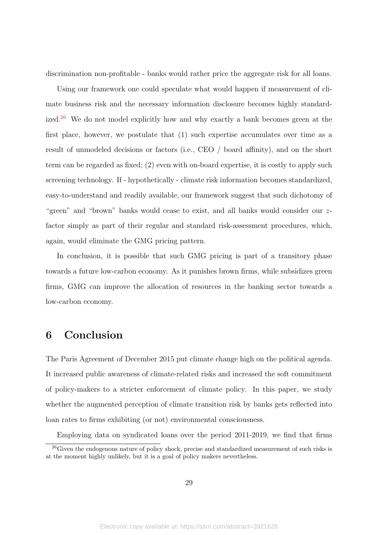discrimination non-profitable - banks would rather price the aggregate risk for all loans.

Using our framework one could speculate what would happen if measurement of climate business risk and the necessary information disclosure becomes highly standardized.[26](#page-29-1) We do not model explicitly how and why exactly a bank becomes green at the first place, however, we postulate that (1) such expertise accumulates over time as a result of unmodeled decisions or factors (i.e., CEO / board affinity), and on the short term can be regarded as fixed; (2) even with on-board expertise, it is costly to apply such screening technology. If - hypothetically - climate risk information becomes standardized, easy-to-understand and readily available, our framework suggest that such dichotomy of "green" and "brown" banks would cease to exist, and all banks would consider our zfactor simply as part of their regular and standard risk-assessment procedures, which, again, would eliminate the GMG pricing pattern.

In conclusion, it is possible that such GMG pricing is part of a transitory phase towards a future low-carbon economy. As it punishes brown firms, while subsidizes green firms, GMG can improve the allocation of resources in the banking sector towards a low-carbon economy.

# <span id="page-29-0"></span>6 Conclusion

The Paris Agreement of December 2015 put climate change high on the political agenda. It increased public awareness of climate-related risks and increased the soft commitment of policy-makers to a stricter enforcement of climate policy. In this paper, we study whether the augmented perception of climate transition risk by banks gets reflected into loan rates to firms exhibiting (or not) environmental consciousness.

<span id="page-29-1"></span>Employing data on syndicated loans over the period 2011-2019, we find that firms <sup>26</sup>Given the endogenous nature of policy shock, precise and standardized measurement of such risks is at the moment highly unlikely, but it is a goal of policy makers nevertheless.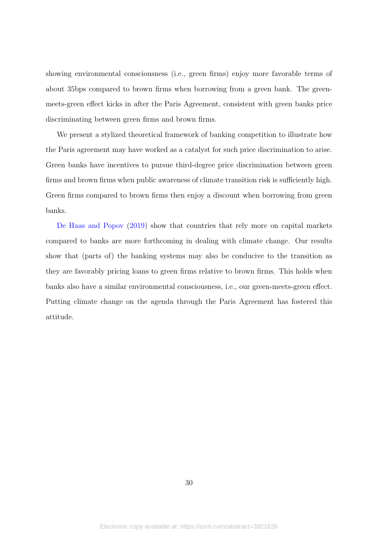showing environmental consciousness (i.e., green firms) enjoy more favorable terms of about 35bps compared to brown firms when borrowing from a green bank. The greenmeets-green effect kicks in after the Paris Agreement, consistent with green banks price discriminating between green firms and brown firms.

We present a stylized theoretical framework of banking competition to illustrate how the Paris agreement may have worked as a catalyst for such price discrimination to arise. Green banks have incentives to pursue third-degree price discrimination between green firms and brown firms when public awareness of climate transition risk is sufficiently high. Green firms compared to brown firms then enjoy a discount when borrowing from green banks.

[De Haas and Popov](#page-32-6) [\(2019\)](#page-32-6) show that countries that rely more on capital markets compared to banks are more forthcoming in dealing with climate change. Our results show that (parts of) the banking systems may also be conducive to the transition as they are favorably pricing loans to green firms relative to brown firms. This holds when banks also have a similar environmental consciousness, i.e., our green-meets-green effect. Putting climate change on the agenda through the Paris Agreement has fostered this attitude.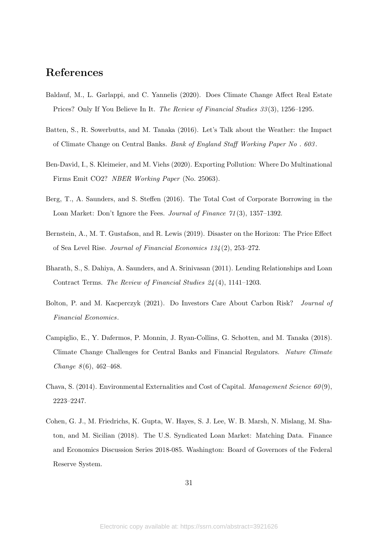# References

- <span id="page-31-4"></span>Baldauf, M., L. Garlappi, and C. Yannelis (2020). Does Climate Change Affect Real Estate Prices? Only If You Believe In It. The Review of Financial Studies 33 (3), 1256–1295.
- <span id="page-31-0"></span>Batten, S., R. Sowerbutts, and M. Tanaka (2016). Let's Talk about the Weather: the Impact of Climate Change on Central Banks. Bank of England Staff Working Paper No . 603 .
- <span id="page-31-6"></span>Ben-David, I., S. Kleimeier, and M. Viehs (2020). Exporting Pollution: Where Do Multinational Firms Emit CO2? NBER Working Paper (No. 25063).
- <span id="page-31-8"></span>Berg, T., A. Saunders, and S. Steffen (2016). The Total Cost of Corporate Borrowing in the Loan Market: Don't Ignore the Fees. Journal of Finance 71(3), 1357–1392.
- <span id="page-31-3"></span>Bernstein, A., M. T. Gustafson, and R. Lewis (2019). Disaster on the Horizon: The Price Effect of Sea Level Rise. Journal of Financial Economics 134 (2), 253–272.
- <span id="page-31-9"></span>Bharath, S., S. Dahiya, A. Saunders, and A. Srinivasan (2011). Lending Relationships and Loan Contract Terms. The Review of Financial Studies 24 (4), 1141–1203.
- <span id="page-31-2"></span>Bolton, P. and M. Kacperczyk (2021). Do Investors Care About Carbon Risk? Journal of Financial Economics.
- <span id="page-31-1"></span>Campiglio, E., Y. Dafermos, P. Monnin, J. Ryan-Collins, G. Schotten, and M. Tanaka (2018). Climate Change Challenges for Central Banks and Financial Regulators. Nature Climate Change  $8(6)$ , 462-468.
- <span id="page-31-5"></span>Chava, S. (2014). Environmental Externalities and Cost of Capital. Management Science  $60(9)$ . 2223–2247.
- <span id="page-31-7"></span>Cohen, G. J., M. Friedrichs, K. Gupta, W. Hayes, S. J. Lee, W. B. Marsh, N. Mislang, M. Shaton, and M. Sicilian (2018). The U.S. Syndicated Loan Market: Matching Data. Finance and Economics Discussion Series 2018-085. Washington: Board of Governors of the Federal Reserve System.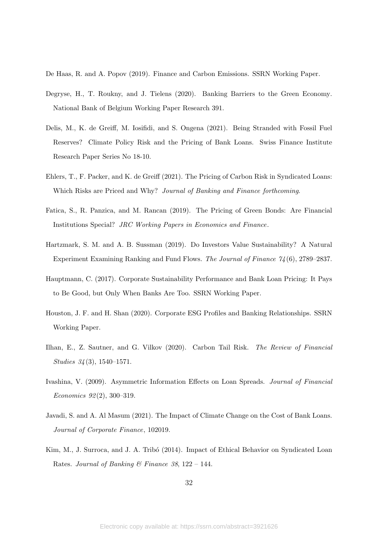<span id="page-32-6"></span>De Haas, R. and A. Popov (2019). Finance and Carbon Emissions. SSRN Working Paper.

- <span id="page-32-7"></span>Degryse, H., T. Roukny, and J. Tielens (2020). Banking Barriers to the Green Economy. National Bank of Belgium Working Paper Research 391.
- <span id="page-32-5"></span>Delis, M., K. de Greiff, M. Iosifidi, and S. Ongena (2021). Being Stranded with Fossil Fuel Reserves? Climate Policy Risk and the Pricing of Bank Loans. Swiss Finance Institute Research Paper Series No 18-10.
- <span id="page-32-3"></span>Ehlers, T., F. Packer, and K. de Greiff (2021). The Pricing of Carbon Risk in Syndicated Loans: Which Risks are Priced and Why? Journal of Banking and Finance forthcoming.
- <span id="page-32-0"></span>Fatica, S., R. Panzica, and M. Rancan (2019). The Pricing of Green Bonds: Are Financial Institutions Special? JRC Working Papers in Economics and Finance.
- <span id="page-32-1"></span>Hartzmark, S. M. and A. B. Sussman (2019). Do Investors Value Sustainability? A Natural Experiment Examining Ranking and Fund Flows. The Journal of Finance 74 (6), 2789–2837.
- <span id="page-32-10"></span>Hauptmann, C. (2017). Corporate Sustainability Performance and Bank Loan Pricing: It Pays to Be Good, but Only When Banks Are Too. SSRN Working Paper.
- <span id="page-32-8"></span>Houston, J. F. and H. Shan (2020). Corporate ESG Profiles and Banking Relationships. SSRN Working Paper.
- <span id="page-32-2"></span>Ilhan, E., Z. Sautner, and G. Vilkov (2020). Carbon Tail Risk. The Review of Financial Studies 34 (3), 1540–1571.
- <span id="page-32-11"></span>Ivashina, V. (2009). Asymmetric Information Effects on Loan Spreads. Journal of Financial Economics 92 (2), 300–319.
- <span id="page-32-4"></span>Javadi, S. and A. Al Masum (2021). The Impact of Climate Change on the Cost of Bank Loans. Journal of Corporate Finance, 102019.
- <span id="page-32-9"></span>Kim, M., J. Surroca, and J. A. Tribó (2014). Impact of Ethical Behavior on Syndicated Loan Rates. Journal of Banking & Finance 38, 122 – 144.

32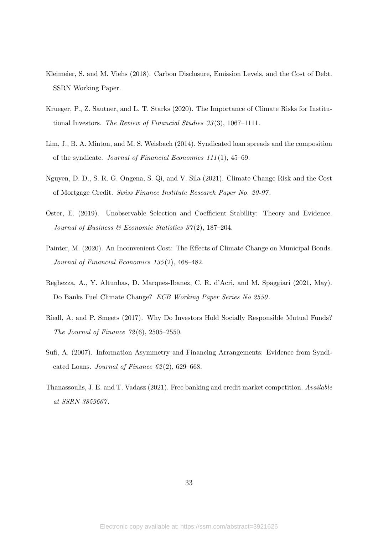- <span id="page-33-3"></span>Kleimeier, S. and M. Viehs (2018). Carbon Disclosure, Emission Levels, and the Cost of Debt. SSRN Working Paper.
- <span id="page-33-1"></span>Krueger, P., Z. Sautner, and L. T. Starks (2020). The Importance of Climate Risks for Institutional Investors. The Review of Financial Studies 33(3), 1067-1111.
- <span id="page-33-7"></span>Lim, J., B. A. Minton, and M. S. Weisbach (2014). Syndicated loan spreads and the composition of the syndicate. Journal of Financial Economics 111 (1), 45–69.
- <span id="page-33-4"></span>Nguyen, D. D., S. R. G. Ongena, S. Qi, and V. Sila (2021). Climate Change Risk and the Cost of Mortgage Credit. Swiss Finance Institute Research Paper No. 20-97 .
- <span id="page-33-8"></span>Oster, E. (2019). Unobservable Selection and Coefficient Stability: Theory and Evidence. Journal of Business  $\mathcal B$  Economic Statistics 37(2), 187–204.
- <span id="page-33-2"></span>Painter, M. (2020). An Inconvenient Cost: The Effects of Climate Change on Municipal Bonds. Journal of Financial Economics 135 (2), 468–482.
- <span id="page-33-5"></span>Reghezza, A., Y. Altunbas, D. Marques-Ibanez, C. R. d'Acri, and M. Spaggiari (2021, May). Do Banks Fuel Climate Change? ECB Working Paper Series No 2550.
- <span id="page-33-0"></span>Riedl, A. and P. Smeets (2017). Why Do Investors Hold Socially Responsible Mutual Funds? The Journal of Finance  $72(6)$ , 2505–2550.
- <span id="page-33-6"></span>Sufi, A. (2007). Information Asymmetry and Financing Arrangements: Evidence from Syndicated Loans. Journal of Finance  $62(2)$ , 629–668.
- <span id="page-33-9"></span>Thanassoulis, J. E. and T. Vadasz (2021). Free banking and credit market competition. Available at SSRN 3859667 .

33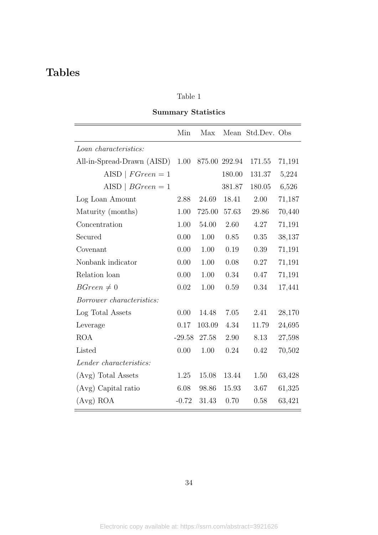# Table 1

## Summary Statistics

<span id="page-34-0"></span>

|                            | Min      | Max           |        | Mean Std.Dev. Obs |        |
|----------------------------|----------|---------------|--------|-------------------|--------|
| Loan characteristics:      |          |               |        |                   |        |
| All-in-Spread-Drawn (AISD) | 1.00     | 875.00 292.94 |        | 171.55            | 71,191 |
| AISD   $FGreen = 1$        |          |               | 180.00 | 131.37            | 5,224  |
| AISD   $BGreen = 1$        |          |               | 381.87 | 180.05            | 6,526  |
| Log Loan Amount            | 2.88     | 24.69         | 18.41  | 2.00              | 71,187 |
| Maturity (months)          | 1.00     | 725.00        | 57.63  | 29.86             | 70,440 |
| Concentration              | 1.00     | 54.00         | 2.60   | 4.27              | 71,191 |
| Secured                    | 0.00     | 1.00          | 0.85   | 0.35              | 38,137 |
| Covenant                   | 0.00     | 1.00          | 0.19   | 0.39              | 71,191 |
| Nonbank indicator          | 0.00     | 1.00          | 0.08   | 0.27              | 71,191 |
| Relation loan              | 0.00     | 1.00          | 0.34   | 0.47              | 71,191 |
| $BGreen \neq 0$            | 0.02     | 1.00          | 0.59   | 0.34              | 17,441 |
| Borrower characteristics:  |          |               |        |                   |        |
| Log Total Assets           | 0.00     | 14.48         | 7.05   | 2.41              | 28,170 |
| Leverage                   | 0.17     | 103.09        | 4.34   | 11.79             | 24,695 |
| <b>ROA</b>                 | $-29.58$ | 27.58         | 2.90   | 8.13              | 27,598 |
| Listed                     | 0.00     | 1.00          | 0.24   | 0.42              | 70,502 |
| Lender characteristics:    |          |               |        |                   |        |
| (Avg) Total Assets         | 1.25     | 15.08         | 13.44  | 1.50              | 63,428 |
| (Avg) Capital ratio        | 6.08     | 98.86         | 15.93  | 3.67              | 61,325 |
| $(Avg)$ ROA                | $-0.72$  | 31.43         | 0.70   | 0.58              | 63,421 |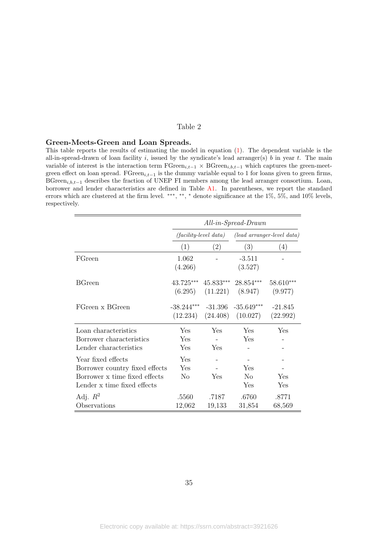#### <span id="page-35-0"></span>Green-Meets-Green and Loan Spreads.

This table reports the results of estimating the model in equation [\(1\)](#page-11-2). The dependent variable is the all-in-spread-drawn of loan facility i, issued by the syndicate's lead arranger(s) b in year t. The main variable of interest is the interaction term  $\text{FGreen}_{i,t-1} \times \text{BGreen}_{i,b,t-1}$  which captures the green-meetgreen effect on loan spread. FGreen<sub>i,t−1</sub> is the dummy variable equal to 1 for loans given to green firms, BGreen<sub>i,b,t−1</sub> describes the fraction of UNEP FI members among the lead arranger consortium. Loan, borrower and lender characteristics are defined in Table [A1.](#page-47-0) In parentheses, we report the standard errors which are clustered at the firm level. \*\*\*, \*\*, \* denote significance at the 1%, 5%, and 10% levels, respectively.

|                                                                                                                      | $All-in-Spread-Drawn$    |                                                       |                              |                        |  |  |  |
|----------------------------------------------------------------------------------------------------------------------|--------------------------|-------------------------------------------------------|------------------------------|------------------------|--|--|--|
|                                                                                                                      |                          | $(facility-level data)$<br>(lead arranger-level data) |                              |                        |  |  |  |
|                                                                                                                      | (1)                      | $\left( 2\right)$                                     | (3)                          | (4)                    |  |  |  |
| FGreen                                                                                                               | 1.062<br>(4.266)         |                                                       | $-3.511$<br>(3.527)          |                        |  |  |  |
| <b>BGreen</b>                                                                                                        | 43.725***<br>(6.295)     | 45.833***<br>(11.221)                                 | 28.854***<br>(8.947)         | $58.610***$<br>(9.977) |  |  |  |
| FGreen x BGreen                                                                                                      | $-38.244***$<br>(12.234) | $-31.396$<br>(24.408)                                 | $-35.649***$<br>(10.027)     | $-21.845$<br>(22.992)  |  |  |  |
| Loan characteristics<br>Borrower characteristics<br>Lender characteristics                                           | Yes<br>Yes<br>Yes        | Yes<br>Yes                                            | Yes<br>Yes                   | Yes                    |  |  |  |
| Year fixed effects<br>Borrower country fixed effects<br>Borrower x time fixed effects<br>Lender x time fixed effects | Yes<br>Yes<br>No         | Yes                                                   | Yes<br>N <sub>o</sub><br>Yes | Yes<br>Yes             |  |  |  |
| Adj. $R^2$<br>Observations                                                                                           | .5560<br>12,062          | .7187<br>19,133                                       | .6760<br>31,854              | .8771<br>68,569        |  |  |  |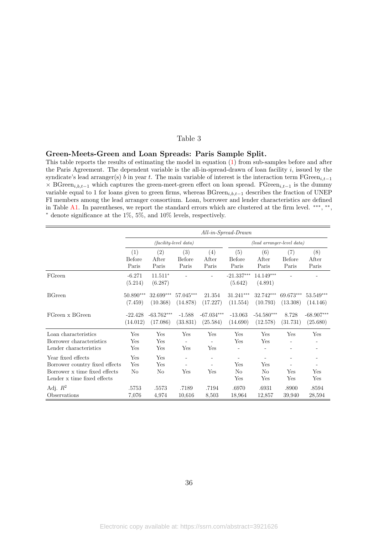#### <span id="page-36-0"></span>Green-Meets-Green and Loan Spreads: Paris Sample Split.

This table reports the results of estimating the model in equation [\(1\)](#page-11-2) from sub-samples before and after the Paris Agreement. The dependent variable is the all-in-spread-drawn of loan facility  $i$ , issued by the syndicate's lead arranger(s) b in year t. The main variable of interest is the interaction term  $\text{FGreen}_{i,t-1}$  $\times$  BGreen<sub>i,b,t−1</sub> which captures the green-meet-green effect on loan spread. FGreen<sub>i,t−1</sub> is the dummy variable equal to 1 for loans given to green firms, whereas BGreen<sub>i,b,t−1</sub> describes the fraction of UNEP FI members among the lead arranger consortium. Loan, borrower and lender characteristics are defined in Table [A1.](#page-47-0) In parentheses, we report the standard errors which are clustered at the firm level. \*\*\*, \*\*, <sup>∗</sup> denote significance at the 1%, 5%, and 10% levels, respectively.

|                                                                                                                      | $All-in-Spread-Drawn$        |                                     |                              |                          |                                  |                              |                        |                          |  |
|----------------------------------------------------------------------------------------------------------------------|------------------------------|-------------------------------------|------------------------------|--------------------------|----------------------------------|------------------------------|------------------------|--------------------------|--|
|                                                                                                                      |                              |                                     | $(facility-level data)$      |                          | $(lead \ arranger-level \ data)$ |                              |                        |                          |  |
|                                                                                                                      | (1)<br>Before<br>Paris       | $\left( 2\right)$<br>After<br>Paris | (3)<br>Before<br>Paris       | (4)<br>After<br>Paris    | (5)<br>Before<br>Paris           | (6)<br>After<br>Paris        | (7)<br>Before<br>Paris | (8)<br>After<br>Paris    |  |
| FGreen                                                                                                               | $-6.271$<br>(5.214)          | $11.511*$<br>(6.287)                |                              |                          | $-21.337***$<br>(5.642)          | 14.149***<br>(4.891)         |                        |                          |  |
| <b>BGreen</b>                                                                                                        | 50.890***<br>(7.459)         | 32.699***<br>(10.368)               | 57.045***<br>(14.878)        | 21.354<br>(17.227)       | 31.241***<br>(11.554)            | 32.742***<br>(10.793)        | 69.673***<br>(13.308)  | $53.549***$<br>(14.146)  |  |
| FGreen x BGreen                                                                                                      | $-22.428$<br>(14.012)        | $-63.762***$<br>(17.086)            | $-1.588$<br>(33.831)         | $-67.034***$<br>(25.584) | $-13.063$<br>(14.690)            | $-54.580***$<br>(12.578)     | 8.728<br>(31.731)      | $-68.907***$<br>(25.680) |  |
| Loan characteristics<br>Borrower characteristics<br>Lender characteristics                                           | Yes<br>Yes<br>Yes            | Yes<br>Yes<br>Yes                   | Yes<br>$\overline{a}$<br>Yes | Yes<br>Yes               | Yes<br>Yes                       | Yes<br>Yes                   | Yes                    | Yes                      |  |
| Year fixed effects<br>Borrower country fixed effects<br>Borrower x time fixed effects<br>Lender x time fixed effects | Yes<br>Yes<br>N <sub>o</sub> | Yes<br>Yes<br>No                    | Yes                          | Yes                      | Yes<br>N <sub>o</sub><br>Yes     | Yes<br>N <sub>o</sub><br>Yes | Yes<br>Yes             | Yes<br>Yes               |  |
| Adj. $R^2$<br>Observations                                                                                           | .5753<br>7,076               | .5573<br>4,974                      | .7189<br>10,616              | .7194<br>8,503           | .6970<br>18,964                  | .6931<br>12,857              | .8900<br>39,940        | .8594<br>28,594          |  |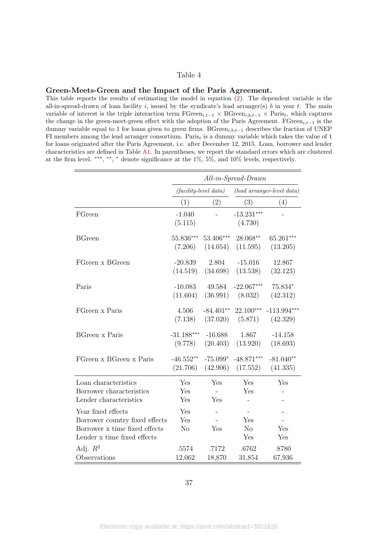#### <span id="page-37-0"></span>Green-Meets-Green and the Impact of the Paris Agreement.

This table reports the results of estimating the model in equation [\(2\)](#page-15-1). The dependent variable is the all-in-spread-drawn of loan facility i, issued by the syndicate's lead arranger(s) b in year t. The main variable of interest is the triple interaction term  $\text{FGreen}_{i,t-1} \times \text{BGreen}_{i,b,t-1} \times \text{Paris}_t$ , which captures the change in the green-meet-green effect with the adoption of the Paris Agreement. FGreen<sub>i,t−1</sub> is the dummy variable equal to 1 for loans given to green firms. BGreen<sub>i,b,t−1</sub> describes the fraction of UNEP FI members among the lead arranger consortium. Paris<sub>t</sub> is a dummy variable which takes the value of 1 for loans originated after the Paris Agreement, i.e. after December 12, 2015. Loan, borrower and lender characteristics are defined in Table [A1.](#page-47-0) In parentheses, we report the standard errors which are clustered at the firm level. ∗∗∗ , ∗∗ , <sup>∗</sup> denote significance at the 1%, 5%, and 10% levels, respectively.

|                                                                                                                      | $All-in-Spread-Drawn$                                      |             |                              |               |  |  |  |
|----------------------------------------------------------------------------------------------------------------------|------------------------------------------------------------|-------------|------------------------------|---------------|--|--|--|
|                                                                                                                      | $(lead\;arranger-level\; data)$<br>$(facility-level data)$ |             |                              |               |  |  |  |
|                                                                                                                      | (1)                                                        | (2)         | (3)                          | (4)           |  |  |  |
| FGreen                                                                                                               | $-1.040$<br>(5.115)                                        |             | $-13.231***$<br>(4.730)      |               |  |  |  |
| <b>BGreen</b>                                                                                                        | 55.836***                                                  | 53.406***   | 28.068**                     | 65.261***     |  |  |  |
|                                                                                                                      | (7.206)                                                    | (14.054)    | (11.595)                     | (13.205)      |  |  |  |
| FGreen x BGreen                                                                                                      | $-20.839$                                                  | 2.804       | $-15.016$                    | 12.867        |  |  |  |
|                                                                                                                      | (14.519)                                                   | (34.698)    | (13.538)                     | (32.123)      |  |  |  |
| Paris                                                                                                                | $-10.083$                                                  | 49.584      | $-22.067***$                 | 75.834*       |  |  |  |
|                                                                                                                      | (11.604)                                                   | (36.991)    | (8.032)                      | (42.312)      |  |  |  |
| FGreen x Paris                                                                                                       | 4.506                                                      | $-84.401**$ | 22.100***                    | $-113.994***$ |  |  |  |
|                                                                                                                      | (7.138)                                                    | (37.020)    | (5.871)                      | (42.329)      |  |  |  |
| <b>BGreen x Paris</b>                                                                                                | $-31.188***$                                               | $-16.688$   | 1.867                        | $-14.158$     |  |  |  |
|                                                                                                                      | (9.778)                                                    | (20.403)    | (13.920)                     | (18.693)      |  |  |  |
| FGreen x BGreen x Paris                                                                                              | $-46.552**$                                                | $-75.099*$  | $-48.871***$                 | $-81.040**$   |  |  |  |
|                                                                                                                      | (21.706)                                                   | (42.906)    | (17.552)                     | (41.335)      |  |  |  |
| Loan characteristics<br>Borrower characteristics<br>Lender characteristics                                           | Yes<br>Yes<br>Yes                                          | Yes<br>Yes  | Yes<br>Yes                   | Yes           |  |  |  |
| Year fixed effects<br>Borrower country fixed effects<br>Borrower x time fixed effects<br>Lender x time fixed effects | Yes<br>Yes<br>N <sub>o</sub>                               | Yes         | Yes<br>N <sub>o</sub><br>Yes | Yes<br>Yes    |  |  |  |
| Adj. $R^2$                                                                                                           | .5574                                                      | .7172       | .6762                        | .8780         |  |  |  |
| Observations                                                                                                         | 12,062                                                     | 18,870      | 31,854                       | 67,936        |  |  |  |

37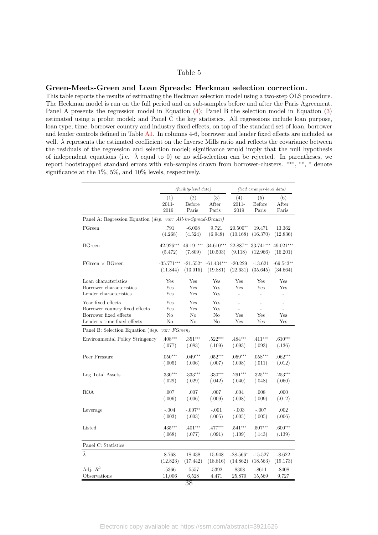#### <span id="page-38-0"></span>Green-Meets-Green and Loan Spreads: Heckman selection correction.

This table reports the results of estimating the Heckman selection model using a two-step OLS procedure. The Heckman model is run on the full period and on sub-samples before and after the Paris Agreement. Panel A presents the regression model in Equation [\(4\)](#page-16-1); Panel B the selection model in Equation [\(3\)](#page-16-0) estimated using a probit model; and Panel C the key statistics. All regressions include loan purpose, loan type, time, borrower country and industry fixed effects, on top of the standard set of loan, borrower and lender controls defined in Table [A1.](#page-47-0) In columns 4-6, borrower and lender fixed effects are included as well.  $\lambda$  represents the estimated coefficient on the Inverse Mills ratio and reflects the covariance between the residuals of the regression and selection model; significance would imply that the null hypothesis of independent equations (i.e.  $\hat{\lambda}$  equal to 0) or no self-selection can be rejected. In parentheses, we report bootstrapped standard errors with sub-samples drawn from borrower-clusters. \*\*\*, \*\*, \* denote significance at the 1%, 5%, and 10% levels, respectively.

|                                                                                                               |                                    | <i>(facility-level data)</i>         |                        | (lead arranger-level data) |                 |                |  |
|---------------------------------------------------------------------------------------------------------------|------------------------------------|--------------------------------------|------------------------|----------------------------|-----------------|----------------|--|
|                                                                                                               | (1)                                | (2)                                  | (3)                    | (4)                        | (5)             | (6)            |  |
|                                                                                                               | 2011-                              | Before                               | After                  | $2011 -$                   | Before          | After          |  |
|                                                                                                               | 2019                               | Paris                                | Paris                  | 2019                       | Paris           | Paris          |  |
| Panel A: Regression Equation (dep. var: All-in-Spread-Drawn)                                                  |                                    |                                      |                        |                            |                 |                |  |
| FGreen                                                                                                        | .791                               | $-6.008$                             | 9.721                  | $20.500**$                 | 19.471          | 13.362         |  |
|                                                                                                               | (4.268)                            | (4.524)                              | (6.948)                | (10.168)                   | (16.370)        | (12.836)       |  |
| <b>BGreen</b>                                                                                                 | 42.926***                          | 49.191***                            | $34.610***$            | 22.887**                   | 33.741***       | 49.021***      |  |
|                                                                                                               | (5.472)                            | (7.809)                              | (10.503)               | (9.118)                    | (12.966)        | (16.201)       |  |
| $FGreen \times BGreen$                                                                                        | $-35.771***$                       | $-21.552*$                           | $-61.434***$           | $-20.229$                  | $-13.621$       | $-69.543**$    |  |
|                                                                                                               | (11.844)                           | (13.015)                             | (19.881)               | (22.631)                   | (35.645)        | (34.664)       |  |
| Loan characteristics                                                                                          | Yes                                | Yes                                  | Yes                    | Yes                        | Yes             | Yes            |  |
| Borrower characteristics                                                                                      | Yes                                | Yes                                  | Yes                    | Yes                        | Yes             | Yes            |  |
| Lender characteristics                                                                                        | Yes                                | Yes                                  | Yes                    | $\overline{a}$             | $\overline{a}$  | $\overline{a}$ |  |
| Year fixed effects<br>Borrower country fixed effects<br>Borrower fixed effects<br>Lender x time fixed effects | Yes<br>Yes<br>No<br>N <sub>o</sub> | $_{\mathrm{Yes}}$<br>Yes<br>No<br>No | Yes<br>Yes<br>No<br>No | Yes<br>Yes                 | Yes<br>Yes      | Yes<br>Yes     |  |
| Panel B: Selection Equation (dep.                                                                             | var: FGreen)                       |                                      |                        |                            |                 |                |  |
| Environmental Policy Stringency                                                                               | $.408***$                          | $.351***$                            | $.522***$              | $.484***$                  | $.411***$       | $.610***$      |  |
|                                                                                                               | (.077)                             | (.083)                               | (.109)                 | (.093)                     | (.093)          | (.136)         |  |
| Peer Pressure                                                                                                 | $.050***$                          | $.049***$                            | $.052***$              | $.059***$                  | $.058***$       | $.062***$      |  |
|                                                                                                               | (.005)                             | (.006)                               | (.007)                 | (.008)                     | (.011)          | (.012)         |  |
| Log Total Assets                                                                                              | $.330***$                          | $.333***$                            | $.330***$              | $.291***$                  | $.325***$       | $.253***$      |  |
|                                                                                                               | (.029)                             | (.029)                               | (.042)                 | (.040)                     | (.048)          | (.060)         |  |
| <b>ROA</b>                                                                                                    | .007                               | .007                                 | .007                   | .004                       | .008            | .000           |  |
|                                                                                                               | (.006)                             | (.006)                               | (.009)                 | (.008)                     | (.009)          | (.012)         |  |
| Leverage                                                                                                      | $-.004$                            | $-.007**$                            | $-.001$                | $-.003$                    | $-.007$         | .002           |  |
|                                                                                                               | (.003)                             | (.003)                               | (.005)                 | (.005)                     | (.005)          | (.006)         |  |
| Listed                                                                                                        | $.435***$                          | $.401***$                            | $.477***$              | $.541***$                  | $.507***$       | $.600***$      |  |
|                                                                                                               | (.068)                             | (.077)                               | (.091)                 | (.109)                     | (.143)          | (.139)         |  |
| Panel C: Statistics                                                                                           |                                    |                                      |                        |                            |                 |                |  |
| $\hat{\lambda}$                                                                                               | 8.768                              | 18.438                               | 15.948                 | $-28.566*$                 | $-15.527$       | $-8.622$       |  |
|                                                                                                               | (12.823)                           | (17.442)                             | (18.816)               | (14.862)                   | (18.563)        | (19.173)       |  |
| Adj. $R^2$<br>Observations                                                                                    | .5366<br>11,006                    | .5557<br>6,528<br>$\overline{38}$    | .5392<br>4,471         | .8308<br>25,870            | .8611<br>15,569 | .8408<br>9,727 |  |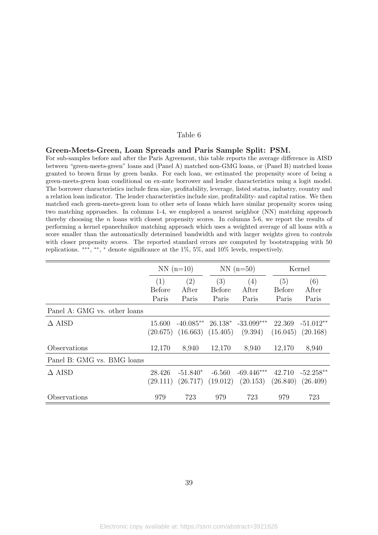#### <span id="page-39-0"></span>Green-Meets-Green, Loan Spreads and Paris Sample Split: PSM.

For sub-samples before and after the Paris Agreement, this table reports the average difference in AISD between "green-meets-green" loans and (Panel A) matched non-GMG loans, or (Panel B) matched loans granted to brown firms by green banks. For each loan, we estimated the propensity score of being a green-meets-green loan conditional on ex-ante borrower and lender characteristics using a logit model. The borrower characteristics include firm size, profitability, leverage, listed status, industry, country and a relation loan indicator. The lender characteristics include size, profitability- and capital ratios. We then matched each green-meets-green loan to other sets of loans which have similar propensity scores using two matching approaches. In columns 1-4, we employed a nearest neighbor (NN) matching approach thereby choosing the n loans with closest propensity scores. In columns 5-6, we report the results of performing a kernel epanechnikov matching approach which uses a weighted average of all loans with a score smaller than the automatically determined bandwidth and with larger weights given to controls with closer propensity scores. The reported standard errors are computed by bootstrapping with 50 replications. \*\*\*, \*\*, \* denote significance at the 1%, 5%, and 10% levels, respectively.

|                              | $NN(n=10)$    |                       |          | $NN(n=50)$                       | Kernel   |             |
|------------------------------|---------------|-----------------------|----------|----------------------------------|----------|-------------|
|                              | (1)           | (2)                   | (3)      | (4)                              | (5)      | (6)         |
|                              | <b>Before</b> | After                 | Before   | After                            | Before   | After       |
|                              | Paris         | Paris                 | Paris    | Paris                            | Paris    | Paris       |
| Panel A: GMG vs. other loans |               |                       |          |                                  |          |             |
| $\triangle$ AISD             | 15.600        |                       |          | $-40.085**$ 26.138* $-33.099***$ | 22.369   | $-51.012**$ |
|                              | (20.675)      | $(16.663)$ $(15.405)$ |          | (9.394)                          | (16.045) | (20.168)    |
| Observations                 | 12,170        | 8,940                 | 12,170   | 8,940                            | 12,170   | 8,940       |
| Panel B: GMG vs. BMG loans   |               |                       |          |                                  |          |             |
| $\triangle$ AISD             | 28.426        | $-51.840*$            | $-6.560$ | $-69.446***$                     | 42.710   | $-52.258**$ |
|                              | (29.111)      | (26.717)              | (19.012) | (20.153)                         | (26.840) | (26.409)    |
| Observations                 | 979           | 723                   | 979      | 723                              | 979      | 723         |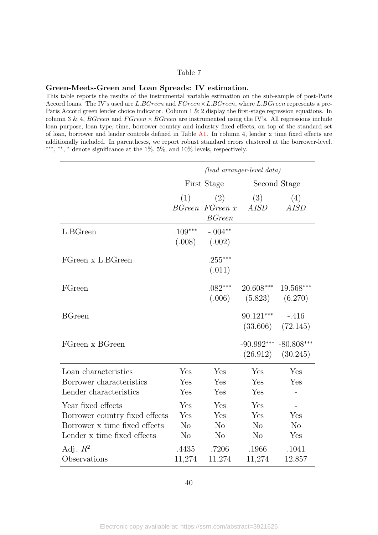#### <span id="page-40-0"></span>Green-Meets-Green and Loan Spreads: IV estimation.

This table reports the results of the instrumental variable estimation on the sub-sample of post-Paris Accord loans. The IV's used are  $L.BGreen$  and  $FGreen \times L.BGreen$ , where  $L.BGreen$  represents a pre-Paris Accord green lender choice indicator. Column 1 & 2 display the first-stage regression equations. In column 3 & 4, BGreen and  $F$ Green  $\times$  BGreen are instrumented using the IV's. All regressions include loan purpose, loan type, time, borrower country and industry fixed effects, on top of the standard set of loan, borrower and lender controls defined in Table [A1.](#page-47-0) In column 4, lender x time fixed effects are additionally included. In parentheses, we report robust standard errors clustered at the borrower-level. \*\*\*, \*\*, \* denote significance at the 1%, 5%, and 10% levels, respectively.

|                                                                                                                      | (lead arranger-level data)               |                                                |                                          |                                                    |  |  |  |
|----------------------------------------------------------------------------------------------------------------------|------------------------------------------|------------------------------------------------|------------------------------------------|----------------------------------------------------|--|--|--|
|                                                                                                                      |                                          | First Stage                                    |                                          | Second Stage                                       |  |  |  |
|                                                                                                                      | (1)                                      | (2)<br>BGreen FGreen x<br><b>BGreen</b>        | (3)<br>AISD                              | (4)<br>AISD                                        |  |  |  |
| L.BGreen                                                                                                             | $.109***$<br>(.008)                      | $-.004**$<br>(.002)                            |                                          |                                                    |  |  |  |
| FGreen x L.BGreen                                                                                                    |                                          | $.255***$<br>(.011)                            |                                          |                                                    |  |  |  |
| FGreen                                                                                                               |                                          | $.082***$<br>(.006)                            | 20.608***<br>(5.823)                     | 19.568***<br>(6.270)                               |  |  |  |
| <b>BGreen</b>                                                                                                        |                                          |                                                | 90.121***<br>(33.606)                    | $-.416$<br>(72.145)                                |  |  |  |
| FGreen x BGreen                                                                                                      |                                          |                                                | $-90.992***$<br>(26.912)                 | $-80.808***$<br>(30.245)                           |  |  |  |
| Loan characteristics<br>Borrower characteristics<br>Lender characteristics                                           | Yes<br>Yes<br>Yes                        | Yes<br>Yes<br>Yes                              | Yes<br>Yes<br>Yes                        | Yes<br>Yes                                         |  |  |  |
| Year fixed effects<br>Borrower country fixed effects<br>Borrower x time fixed effects<br>Lender x time fixed effects | Yes<br>Yes<br>$\rm No$<br>N <sub>o</sub> | Yes<br>Yes<br>N <sub>o</sub><br>N <sub>o</sub> | Yes<br>Yes<br>N <sub>o</sub><br>$\rm No$ | $\overline{\phantom{a}}$<br>Yes<br>$\rm No$<br>Yes |  |  |  |
| Adj. $R^2$<br>Observations                                                                                           | .4435<br>11,274                          | .7206<br>11,274                                | .1966<br>11,274                          | .1041<br>12,857                                    |  |  |  |

40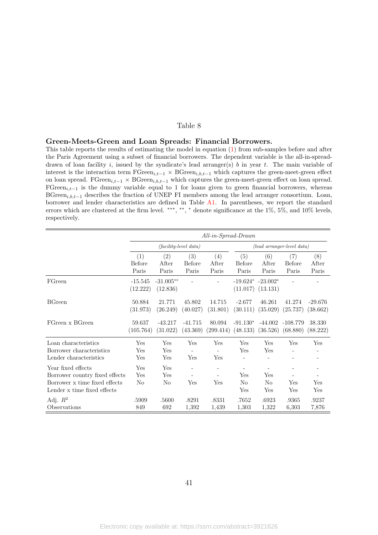#### <span id="page-41-0"></span>Green-Meets-Green and Loan Spreads: Financial Borrowers.

This table reports the results of estimating the model in equation [\(1\)](#page-11-2) from sub-samples before and after the Paris Agreement using a subset of financial borrowers. The dependent variable is the all-in-spreaddrawn of loan facility i, issued by the syndicate's lead arranger(s) b in year t. The main variable of interest is the interaction term  $\text{FGreen}_{i,t-1} \times \text{BGreen}_{i,b,t-1}$  which captures the green-meet-green effect on loan spread. FGreen<sub>i,t−1</sub> × BGreen<sub>i,b,t−1</sub> which captures the green-meet-green effect on loan spread. FGreen<sub>i,t−1</sub> is the dummy variable equal to 1 for loans given to green financial borrowers, whereas BGreen<sub>i,b,t−1</sub> describes the fraction of UNEP FI members among the lead arranger consortium. Loan, borrower and lender characteristics are defined in Table [A1.](#page-47-0) In parentheses, we report the standard errors which are clustered at the firm level. \*\*\*, \*\*, \* denote significance at the 1%, 5%, and 10% levels, respectively.

|                                                                                                                      |                       | $All-in-Spread-Drawn$   |                         |                     |                                              |                                     |                                    |                       |  |
|----------------------------------------------------------------------------------------------------------------------|-----------------------|-------------------------|-------------------------|---------------------|----------------------------------------------|-------------------------------------|------------------------------------|-----------------------|--|
|                                                                                                                      |                       |                         | $(facility-level data)$ |                     | (lead arranger-level data)                   |                                     |                                    |                       |  |
|                                                                                                                      | (1)<br>Before         | (2)<br>After            | (3)<br><b>Before</b>    | (4)<br>After        | (5)<br>Before                                | (6)<br>After                        | $\left( 7\right)$<br><b>Before</b> | (8)<br>After          |  |
|                                                                                                                      | Paris                 | Paris                   | Paris                   | Paris               | Paris                                        | Paris                               | Paris                              | Paris                 |  |
| FGreen                                                                                                               | $-15.545$<br>(12.222) | $-31.005**$<br>(12.836) |                         |                     | (11.017)                                     | $-19.624$ * $-23.002$ *<br>(13.131) |                                    |                       |  |
| <b>BGreen</b>                                                                                                        | 50.884<br>(31.973)    | 21.771<br>(26.249)      | 45.802<br>(40.027)      | 14.715<br>(31.801)  | $-2.677$<br>(30.111)                         | 46.261<br>(35.029)                  | 41.274<br>(25.737)                 | $-29.676$<br>(38.662) |  |
| FGreen x BGreen                                                                                                      | 59.637<br>(105.764)   | $-43.217$<br>(31.022)   | $-41.715$<br>(43.369)   | 80.094<br>(299.414) | $-91.130*$<br>$(48.133)$ $(36.526)$          | -44.002                             | $-108.779$<br>(68.880)             | 38.330<br>(88.222)    |  |
| Loan characteristics<br>Borrower characteristics<br>Lender characteristics                                           | Yes<br>Yes<br>Yes     | Yes<br>Yes<br>Yes       | Yes<br>Yes              | Yes<br>Yes          | Yes<br>Yes                                   | Yes<br>Yes                          | Yes                                | Yes                   |  |
| Year fixed effects<br>Borrower country fixed effects<br>Borrower x time fixed effects<br>Lender x time fixed effects | Yes<br>Yes<br>No      | Yes<br>Yes<br>No        | Yes                     | Yes                 | $\overline{\phantom{a}}$<br>Yes<br>No<br>Yes | Yes<br>No<br>Yes                    | Yes<br>Yes                         | Yes<br>Yes            |  |
| Adj. $R^2$<br>Observations                                                                                           | .5909<br>849          | .5600<br>692            | .8291<br>1,392          | .8331<br>1,439      | .7652<br>1,303                               | .6923<br>1,322                      | .9365<br>6,303                     | .9237<br>7,876        |  |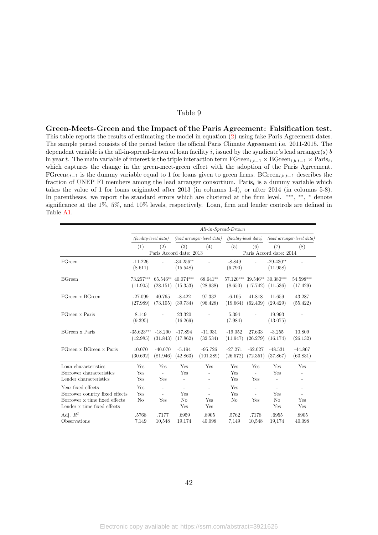<span id="page-42-0"></span>Green-Meets-Green and the Impact of the Paris Agreement: Falsification test. This table reports the results of estimating the model in equation [\(2\)](#page-15-1) using fake Paris Agreement dates. The sample period consists of the period before the official Paris Climate Agreement i.e. 2011-2015. The dependent variable is the all-in-spread-drawn of loan facility  $i$ , issued by the syndicate's lead arranger(s)  $b$ in year t. The main variable of interest is the triple interaction term  $\text{FGreen}_{i,t-1} \times \text{BGreen}_{i,b,t-1} \times \text{Paris}_t$ , which captures the change in the green-meet-green effect with the adoption of the Paris Agreement. FGreen<sub>i,t−1</sub> is the dummy variable equal to 1 for loans given to green firms. BGreen<sub>i,b,t−1</sub> describes the fraction of UNEP FI members among the lead arranger consortium. Paris<sub>t</sub> is a dummy variable which takes the value of 1 for loans originated after 2013 (in columns 1-4), or after 2014 (in columns 5-8). In parentheses, we report the standard errors which are clustered at the firm level. \*\*\*, \*\*, \* denote significance at the 1%, 5%, and 10% levels, respectively. Loan, firm and lender controls are defined in Table [A1.](#page-47-0)

|                                | $All-in-Spread-Drawn$   |                          |                         |                                  |                         |                |                                |                          |
|--------------------------------|-------------------------|--------------------------|-------------------------|----------------------------------|-------------------------|----------------|--------------------------------|--------------------------|
|                                | $(facility-level data)$ |                          |                         | $(lead \ arrange$ -level $data)$ | $(facility-level data)$ |                | $(lead \ arranger-level data)$ |                          |
|                                | (1)                     | (2)                      | (3)                     | (4)                              | (5)                     | (6)            | (7)                            | (8)                      |
|                                |                         |                          | Paris Accord date: 2013 |                                  |                         |                | Paris Accord date: 2014        |                          |
| FGreen                         | $-11.226$               | $\overline{a}$           | $-34.256**$             |                                  | $-8.849$                | $\overline{a}$ | $-29.430**$                    |                          |
|                                | (8.611)                 |                          | (15.548)                |                                  | (6.790)                 |                | (11.958)                       |                          |
| <b>BGreen</b>                  | 73.257***               | 65.546**                 | $40.074***$             | 68.641**                         | 57.120***               | 39.546**       | $30.380***$                    | 54.598***                |
|                                | (11.905)                | (28.151)                 | (15.353)                | (28.938)                         | (8.650)                 | (17.742)       | (11.536)                       | (17.429)                 |
| FGreen x BGreen                | $-27.099$               | 40.765                   | $-8.422$                | 97.332                           | $-6.105$                | 41.818         | 11.659                         | 43.287                   |
|                                | (27.989)                | (73.105)                 | (39.734)                | (96.428)                         | (19.664)                | (62.409)       | (29.429)                       | (55.422)                 |
| FGreen x Paris                 | 8.149                   |                          | 23.320                  |                                  | 5.394                   |                | 19.993                         |                          |
|                                | (9.395)                 |                          | (16.269)                |                                  | (7.984)                 |                | (13.075)                       |                          |
| <b>BGreen</b> x Paris          | $-35.623***$            | $-18.290$                | $-17.894$               | $-11.931$                        | $-19.052$               | 27.633         | $-3.255$                       | 10.809                   |
|                                | (12.985)                | (31.843)                 | (17.862)                | (32.534)                         | (11.947)                | (26.279)       | (16.174)                       | (26.132)                 |
| FGreen x BGreen x Paris        | 10.070                  | $-40.070$                | $-5.194$                | $-95.726$                        | $-27.271$               | $-62.027$      | $-48.531$                      | $-44.867$                |
|                                | (30.692)                | (81.946)                 | (42.863)                | (101.389)                        | (26.572)                | (72.351)       | (37.867)                       | (63.831)                 |
| Loan characteristics           | Yes                     | Yes                      | Yes                     | Yes                              | Yes                     | Yes            | Yes                            | Yes                      |
| Borrower characteristics       | Yes                     | $\bar{\phantom{a}}$      | Yes                     | $\overline{a}$                   | Yes                     | $\frac{1}{2}$  | Yes                            |                          |
| Lender characteristics         | Yes                     | Yes                      |                         | $\qquad \qquad -$                | Yes                     | Yes            |                                | $\overline{\phantom{0}}$ |
| Year fixed effects             | Yes                     | $\overline{\phantom{a}}$ | $\overline{a}$          | $\overline{\phantom{a}}$         | Yes                     | $\overline{a}$ | $\overline{\phantom{a}}$       | L,                       |
| Borrower country fixed effects | Yes                     | $\sim$                   | Yes                     | $\overline{\phantom{a}}$         | Yes                     | $\overline{a}$ | Yes                            | $\overline{a}$           |
| Borrower x time fixed effects  | No                      | Yes                      | N <sub>o</sub>          | Yes                              | No                      | Yes            | N <sub>o</sub>                 | Yes                      |
| Lender x time fixed effects    |                         |                          | Yes                     | Yes                              |                         |                | Yes                            | Yes                      |
| Adj. $R^2$                     | .5768                   | .7177                    | .6959                   | .8905                            | .5762                   | .7178          | .6955                          | .8905                    |
| Observations                   | 7,149                   | 10,548                   | 19,174                  | 40,098                           | 7,149                   | 10.548         | 19,174                         | 40,098                   |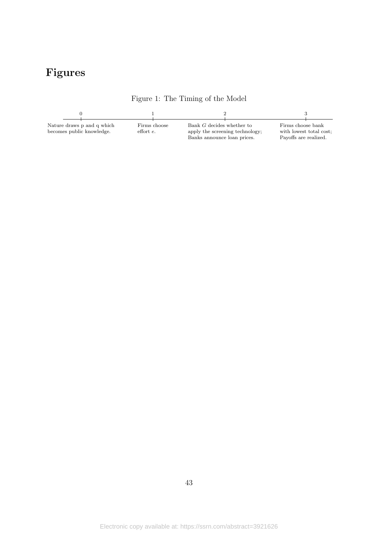# Figures

<span id="page-43-0"></span>

Figure 1: The Timing of the Model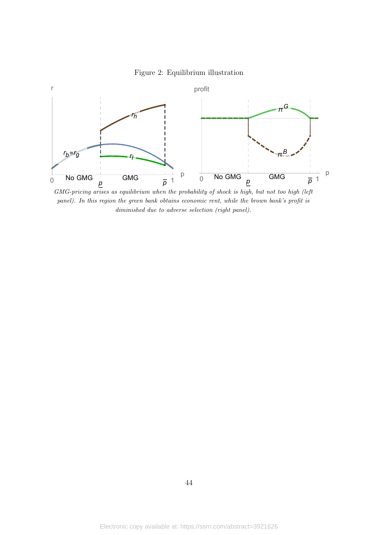

<span id="page-44-0"></span>

GMG-pricing arises as equilibrium when the probability of shock is high, but not too high (left panel). In this region the green bank obtains economic rent, while the brown bank's profit is diminished due to adverse selection (right panel).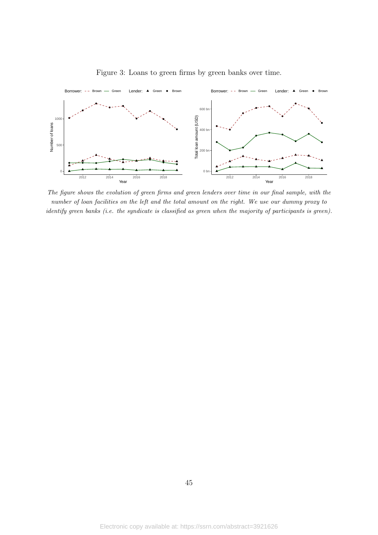<span id="page-45-0"></span>

Figure 3: Loans to green firms by green banks over time.

The figure shows the evolution of green firms and green lenders over time in our final sample, with the number of loan facilities on the left and the total amount on the right. We use our dummy proxy to identify green banks (i.e. the syndicate is classified as green when the majority of participants is green).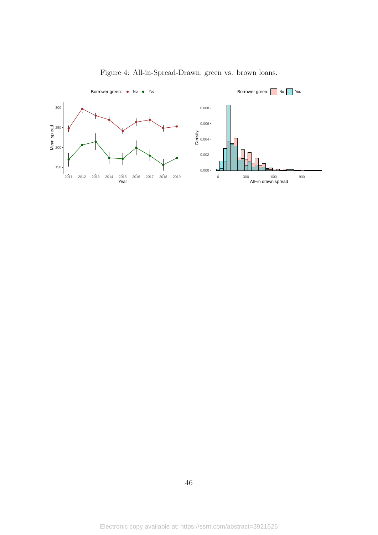<span id="page-46-0"></span>

Figure 4: All-in-Spread-Drawn, green vs. brown loans.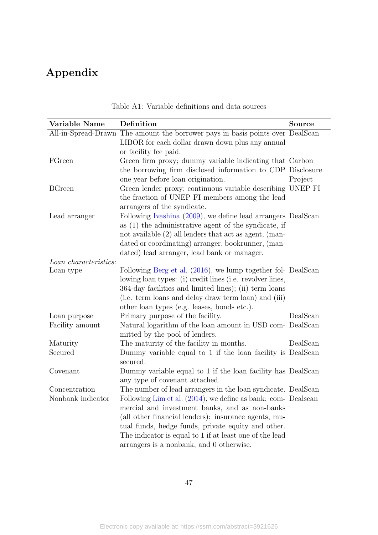# Appendix

<span id="page-47-0"></span>

| Variable Name         | Definition                                                                     | Source   |
|-----------------------|--------------------------------------------------------------------------------|----------|
|                       | All-in-Spread-Drawn The amount the borrower pays in basis points over DealScan |          |
|                       | LIBOR for each dollar drawn down plus any annual                               |          |
|                       | or facility fee paid.                                                          |          |
| FGreen                | Green firm proxy; dummy variable indicating that Carbon                        |          |
|                       | the borrowing firm disclosed information to CDP Disclosure                     |          |
|                       | one year before loan origination.                                              | Project  |
| <b>BGreen</b>         | Green lender proxy; continuous variable describing UNEP FI                     |          |
|                       | the fraction of UNEP FI members among the lead                                 |          |
|                       | arrangers of the syndicate.                                                    |          |
| Lead arranger         | Following Ivashina (2009), we define lead arrangers DealScan                   |          |
|                       | as $(1)$ the administrative agent of the syndicate, if                         |          |
|                       | not available $(2)$ all lenders that act as agent, (man-                       |          |
|                       | dated or coordinating) arranger, bookrunner, (man-                             |          |
|                       | dated) lead arranger, lead bank or manager.                                    |          |
| Loan characteristics: |                                                                                |          |
| Loan type             | Following Berg et al. (2016), we lump together fol- DealScan                   |          |
|                       | lowing loan types: (i) credit lines (i.e. revolver lines,                      |          |
|                       | 364-day facilities and limited lines); (ii) term loans                         |          |
|                       | (i.e. term loans and delay draw term loan) and (iii)                           |          |
|                       | other loan types (e.g. leases, bonds etc.).                                    |          |
| Loan purpose          | Primary purpose of the facility.                                               | DealScan |
| Facility amount       | Natural logarithm of the loan amount in USD com- DealScan                      |          |
|                       | mitted by the pool of lenders.                                                 |          |
| Maturity              | The maturity of the facility in months.                                        | DealScan |
| Secured               | Dummy variable equal to 1 if the loan facility is DealScan                     |          |
|                       | secured.                                                                       |          |
| Covenant              | Dummy variable equal to 1 if the loan facility has DealScan                    |          |
|                       | any type of covenant attached.                                                 |          |
| Concentration         | The number of lead arrangers in the loan syndicate. DealScan                   |          |
| Nonbank indicator     | Following Lim et al. $(2014)$ , we define as bank: com- Dealscan               |          |
|                       | mercial and investment banks, and as non-banks                                 |          |
|                       | (all other financial lenders): insurance agents, mu-                           |          |
|                       | tual funds, hedge funds, private equity and other.                             |          |
|                       | The indicator is equal to 1 if at least one of the lead                        |          |
|                       | arrangers is a nonbank, and 0 otherwise.                                       |          |
|                       |                                                                                |          |

|  |  | Table A1: Variable definitions and data sources |
|--|--|-------------------------------------------------|
|  |  |                                                 |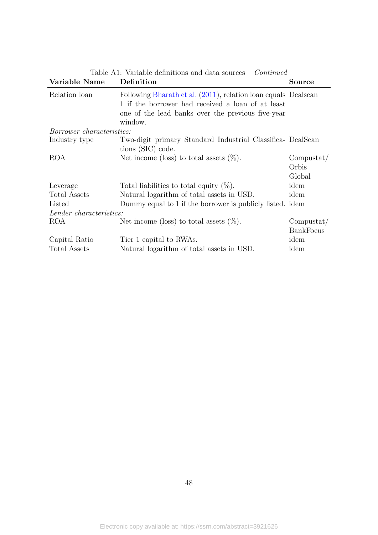| Variable Name                    | Definition                                                                                                                                                                          | Source                        |
|----------------------------------|-------------------------------------------------------------------------------------------------------------------------------------------------------------------------------------|-------------------------------|
| Relation loan                    | Following Bharath et al. (2011), relation loan equals Dealscan<br>1 if the borrower had received a loan of at least<br>one of the lead banks over the previous five-year<br>window. |                               |
| <i>Borrower characteristics:</i> |                                                                                                                                                                                     |                               |
| Industry type                    | Two-digit primary Standard Industrial Classifica- DealScan<br>tions (SIC) code.                                                                                                     |                               |
| <b>ROA</b>                       | Net income (loss) to total assets $(\%)$ .                                                                                                                                          | Computat/<br>Orbis<br>Global  |
| Leverage                         | Total liabilities to total equity $(\%)$ .                                                                                                                                          | idem                          |
| <b>Total Assets</b>              | Natural logarithm of total assets in USD.                                                                                                                                           | idem                          |
| Listed                           | Dummy equal to 1 if the borrower is publicly listed. idem                                                                                                                           |                               |
| Lender characteristics:          |                                                                                                                                                                                     |                               |
| <b>ROA</b>                       | Net income (loss) to total assets $(\%)$ .                                                                                                                                          | Computat/<br><b>BankFocus</b> |
| Capital Ratio                    | Tier 1 capital to RWAs.                                                                                                                                                             | idem                          |
| Total Assets                     | Natural logarithm of total assets in USD.                                                                                                                                           | idem                          |

Table A1: Variable definitions and data sources – Continued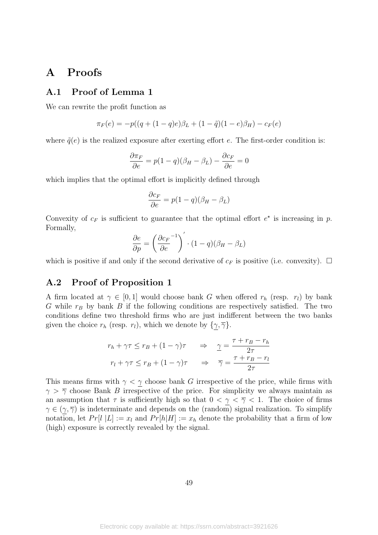# <span id="page-49-0"></span>A Proofs

## A.1 Proof of Lemma 1

We can rewrite the profit function as

$$
\pi_F(e) = -p((q + (1-q)e)\beta_L + (1-\tilde{q})(1-e)\beta_H) - c_F(e)
$$

where  $\tilde{q}(e)$  is the realized exposure after exerting effort e. The first-order condition is:

$$
\frac{\partial \pi_F}{\partial e} = p(1-q)(\beta_H - \beta_L) - \frac{\partial c_F}{\partial e} = 0
$$

which implies that the optimal effort is implicitly defined through

$$
\frac{\partial c_F}{\partial e} = p(1-q)(\beta_H - \beta_L)
$$

Convexity of  $c_F$  is sufficient to guarantee that the optimal effort  $e^*$  is increasing in p. Formally,

$$
\frac{\partial e}{\partial p} = \left(\frac{\partial c_F}{\partial e}^{-1}\right)' \cdot (1 - q)(\beta_H - \beta_L)
$$

which is positive if and only if the second derivative of  $c_F$  is positive (i.e. convexity).  $\Box$ 

### A.2 Proof of Proposition 1

A firm located at  $\gamma \in [0,1]$  would choose bank G when offered  $r_h$  (resp.  $r_l$ ) by bank G while  $r_B$  by bank B if the following conditions are respectively satisfied. The two conditions define two threshold firms who are just indifferent between the two banks given the choice  $r_h$  (resp.  $r_l$ ), which we denote by  $\{\gamma, \overline{\gamma}\}.$ 

$$
r_h + \gamma \tau \le r_B + (1 - \gamma)\tau \quad \Rightarrow \quad \underline{\gamma} = \frac{\tau + r_B - r_h}{2\tau}
$$

$$
r_l + \gamma \tau \le r_B + (1 - \gamma)\tau \quad \Rightarrow \quad \overline{\gamma} = \frac{\tau + r_B - r_l}{2\tau}
$$

This means firms with  $\gamma < \gamma$  choose bank G irrespective of the price, while firms with  $\gamma > \overline{\gamma}$  choose Bank B irrespective of the price. For simplicity we always maintain as an assumption that  $\tau$  is sufficiently high so that  $0 < \gamma < \overline{\gamma} < 1$ . The choice of firms  $\gamma \in (\gamma, \overline{\gamma})$  is indeterminate and depends on the (random) signal realization. To simplify notation, let  $Pr[l | L] := x_l$  and  $Pr[h|H] := x_h$  denote the probability that a firm of low (high) exposure is correctly revealed by the signal.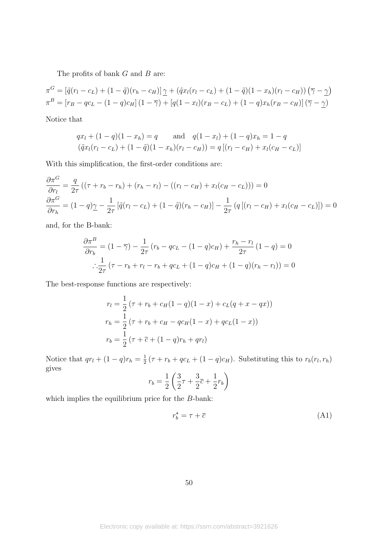The profits of bank  $G$  and  $B$  are:

$$
\pi^G = [\tilde{q}(r_l - c_L) + (1 - \tilde{q})(r_h - c_H)] \gamma + (\tilde{q}x_l(r_l - c_L) + (1 - \tilde{q})(1 - x_h)(r_l - c_H)) (\overline{\gamma} - \gamma)
$$
  

$$
\pi^B = [r_B - qc_L - (1 - q)c_H] (1 - \overline{\gamma}) + [q(1 - x_l)(r_B - c_L) + (1 - q)x_h(r_B - c_H)] (\overline{\gamma} - \gamma)
$$

Notice that

$$
qx_l + (1 - q)(1 - x_h) = q \quad \text{and} \quad q(1 - x_l) + (1 - q)x_h = 1 - q
$$
  

$$
(\tilde{q}x_l(r_l - c_L) + (1 - \tilde{q})(1 - x_h)(r_l - c_H)) = q[(r_l - c_H) + x_l(c_H - c_L)]
$$

With this simplification, the first-order conditions are:

$$
\frac{\partial \pi^G}{\partial r_l} = \frac{q}{2\tau} \left( (\tau + r_b - r_h) + (r_h - r_l) - ((r_l - c_H) + x_l(c_H - c_L)) \right) = 0
$$
  

$$
\frac{\partial \pi^G}{\partial r_h} = (1 - q)\gamma - \frac{1}{2\tau} \left[ \tilde{q}(r_l - c_L) + (1 - \tilde{q})(r_h - c_H) \right] - \frac{1}{2\tau} \left( q \left[ (r_l - c_H) + x_l(c_H - c_L) \right] \right) = 0
$$

and, for the B-bank:

$$
\frac{\partial \pi^B}{\partial r_b} = (1 - \overline{\gamma}) - \frac{1}{2\tau} (r_b - qc_L - (1 - q)c_H) + \frac{r_h - r_l}{2\tau} (1 - q) = 0
$$
  

$$
\therefore \frac{1}{2\tau} (\tau - r_b + r_l - r_b + qc_L + (1 - q)c_H + (1 - q)(r_h - r_l)) = 0
$$

The best-response functions are respectively:

$$
r_l = \frac{1}{2} (\tau + r_b + c_H(1 - q)(1 - x) + c_L(q + x - qx))
$$
  
\n
$$
r_h = \frac{1}{2} (\tau + r_b + c_H - qc_H(1 - x) + qc_L(1 - x))
$$
  
\n
$$
r_b = \frac{1}{2} (\tau + \overline{c} + (1 - q)r_h + qr_l)
$$

Notice that  $qr_l + (1-q)r_h = \frac{1}{2}$  $\frac{1}{2}(\tau + r_b + qc_L + (1-q)c_H)$ . Substituting this to  $r_b(r_l, r_h)$ gives

$$
r_b = \frac{1}{2} \left( \frac{3}{2} \tau + \frac{3}{2} \overline{c} + \frac{1}{2} r_b \right)
$$

which implies the equilibrium price for the B-bank:

$$
r_b^* = \tau + \overline{c} \tag{A1}
$$

$$
50\,
$$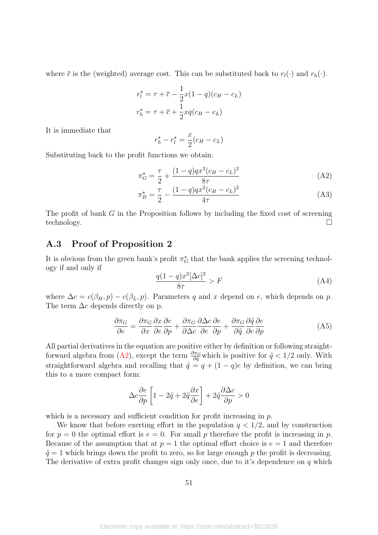where  $\bar{c}$  is the (weighted) average cost. This can be substituted back to  $r_l(\cdot)$  and  $r_h(\cdot)$ .

$$
r_l^* = \tau + \overline{c} - \frac{1}{2}x(1-q)(c_H - c_L)
$$

$$
r_h^* = \tau + \overline{c} + \frac{1}{2}xq(c_H - c_L)
$$

It is immediate that

<span id="page-51-0"></span>
$$
r_h^\star - r_l^\star = \frac{x}{2}(c_H - c_L)
$$

Substituting back to the profit functions we obtain:

$$
\pi_G^* = \frac{\tau}{2} + \frac{(1-q)qx^2(c_H - c_L)^2}{8\tau}
$$
\n(A2)

$$
\pi_B^* = \frac{\tau}{2} - \frac{(1-q)qx^2(c_H - c_L)^2}{4\tau} \tag{A3}
$$

The profit of bank G in the Proposition follows by including the fixed cost of screening technology.

### A.3 Proof of Proposition 2

It is obvious from the green bank's profit  $\pi_G^{\star}$  that the bank applies the screening technology if and only if

<span id="page-51-1"></span>
$$
\frac{q(1-q)x^2[\Delta c]^2}{8\tau} > F\tag{A4}
$$

where  $\Delta c = c(\beta_H, p) - c(\beta_L, p)$ . Parameters q and x depend on e, which depends on p. The term  $\Delta c$  depends directly on p.

$$
\frac{\partial \pi_G}{\partial e} = \frac{\partial \pi_G}{\partial x} \frac{\partial x}{\partial e} \frac{\partial e}{\partial p} + \frac{\partial \pi_G}{\partial \Delta c} \frac{\partial \Delta c}{\partial e} \frac{\partial e}{\partial p} + \frac{\partial \pi_G}{\partial \tilde{q}} \frac{\partial \tilde{q}}{\partial e} \frac{\partial e}{\partial p}
$$
(A5)

All partial derivatives in the equation are positive either by definition or following straight-forward algebra from [\(A2\)](#page-51-0), except the term  $\frac{\partial \pi_G}{\partial \tilde{q}}$  which is positive for  $\tilde{q}$  < 1/2 only. With straightforward algebra and recalling that  $\tilde{q} = q + (1 - q)e$  by definition, we can bring this to a more compact form:

$$
\Delta c \frac{\partial e}{\partial p} \left[ 1 - 2 \tilde{q} + 2 \tilde{q} \frac{\partial x}{\partial e} \right] + 2 \tilde{q} \frac{\partial \Delta c}{\partial p} > 0
$$

which is a necessary and sufficient condition for profit increasing in p.

We know that before exerting effort in the population  $q < 1/2$ , and by construction for  $p = 0$  the optimal effort is  $e = 0$ . For small p therefore the profit is increasing in p. Because of the assumption that at  $p = 1$  the optimal effort choice is  $e = 1$  and therefore  $\tilde{q} = 1$  which brings down the profit to zero, so for large enough p the profit is decreasing. The derivative of extra profit changes sign only once, due to it's dependence on  $q$  which